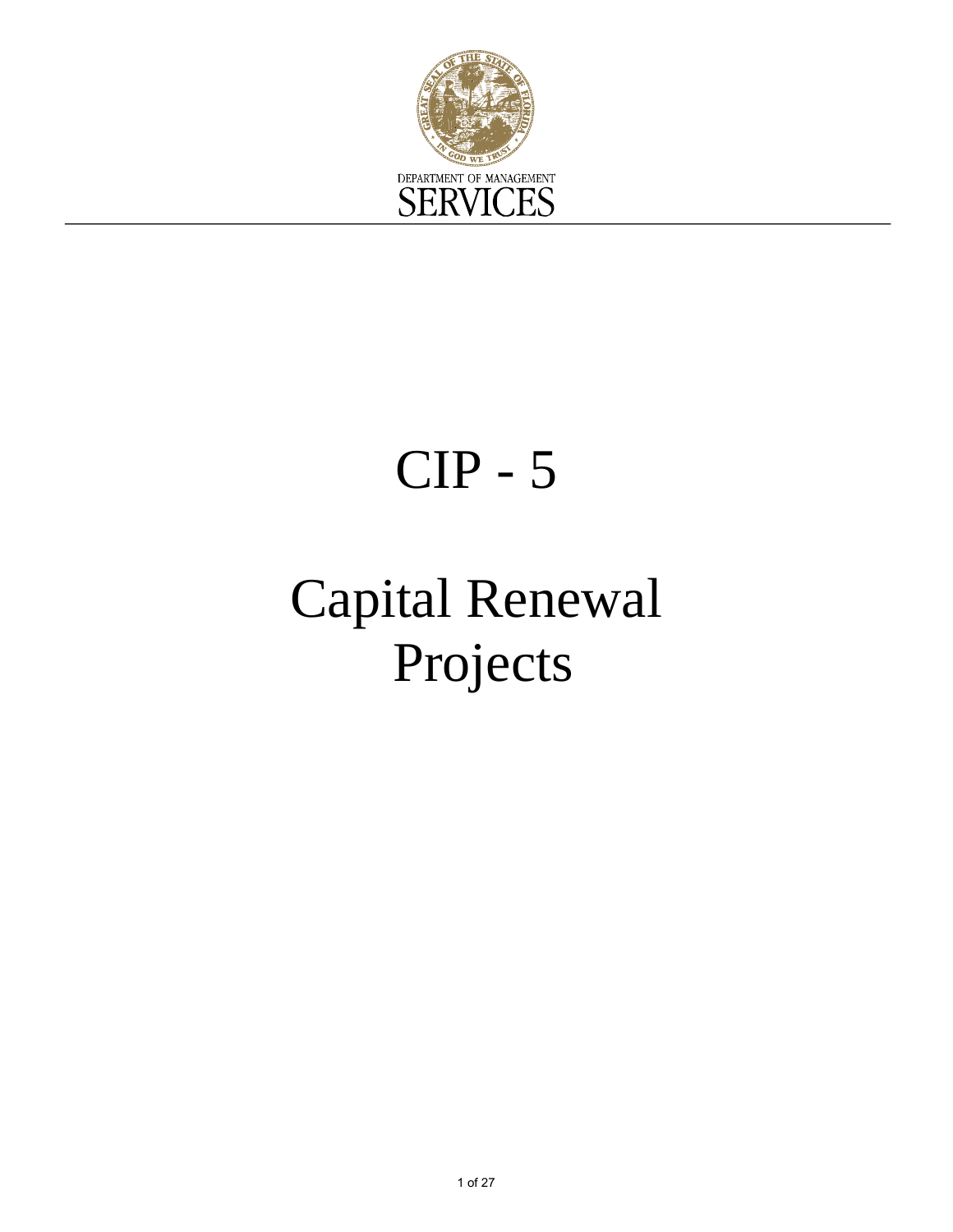

# CIP - 5

# Capital Renewal Projects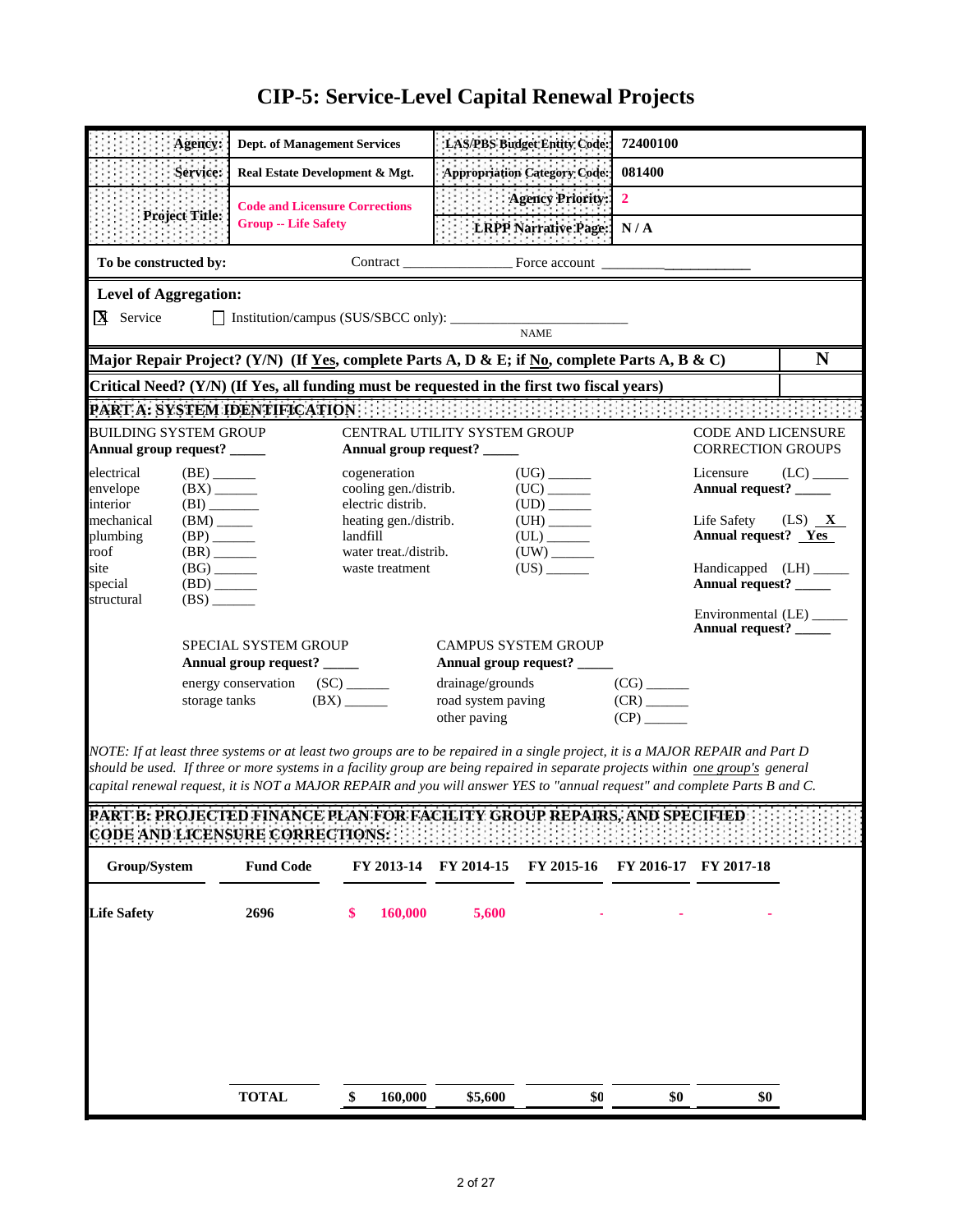|                                                                                                                                                                            | Agency:                                               | <b>Dept. of Management Services</b>                                                                                                                                                                                                                          |                          |                                          |                                        | LAS/PBS Budget Entity Code:                            | 72400100                                             |                                    |                         |
|----------------------------------------------------------------------------------------------------------------------------------------------------------------------------|-------------------------------------------------------|--------------------------------------------------------------------------------------------------------------------------------------------------------------------------------------------------------------------------------------------------------------|--------------------------|------------------------------------------|----------------------------------------|--------------------------------------------------------|------------------------------------------------------|------------------------------------|-------------------------|
|                                                                                                                                                                            | Service:                                              | Real Estate Development & Mgt.                                                                                                                                                                                                                               |                          |                                          |                                        | Appropriation Category Code:                           | 081400                                               |                                    |                         |
|                                                                                                                                                                            |                                                       | <b>Code and Licensure Corrections</b>                                                                                                                                                                                                                        |                          |                                          |                                        | <b>Agency Priority:</b>                                | $\overline{2}$                                       |                                    |                         |
|                                                                                                                                                                            | Project Title:                                        | <b>Group -- Life Safety</b>                                                                                                                                                                                                                                  |                          |                                          |                                        | <b>LRPP Narrative Page:</b>                            | N/A                                                  |                                    |                         |
| To be constructed by:                                                                                                                                                      |                                                       |                                                                                                                                                                                                                                                              |                          |                                          |                                        |                                                        |                                                      |                                    |                         |
| <b>Level of Aggregation:</b>                                                                                                                                               |                                                       |                                                                                                                                                                                                                                                              |                          |                                          |                                        |                                                        |                                                      |                                    |                         |
| <b>X</b> Service                                                                                                                                                           |                                                       |                                                                                                                                                                                                                                                              |                          |                                          |                                        |                                                        |                                                      |                                    |                         |
|                                                                                                                                                                            |                                                       |                                                                                                                                                                                                                                                              |                          |                                          |                                        | <b>NAME</b>                                            |                                                      |                                    | N                       |
|                                                                                                                                                                            |                                                       | Major Repair Project? (Y/N) (If Yes, complete Parts A, D & E; if No, complete Parts A, B & C)                                                                                                                                                                |                          |                                          |                                        |                                                        |                                                      |                                    |                         |
| Critical Need? (Y/N) (If Yes, all funding must be requested in the first two fiscal years)<br>PARTA: SYSTEM IDENTIFICATION ENERGY ENERGY TO THE RESERVE THE RESERVE TO THE |                                                       |                                                                                                                                                                                                                                                              |                          |                                          |                                        |                                                        |                                                      |                                    |                         |
| <b>BUILDING SYSTEM GROUP</b>                                                                                                                                               |                                                       |                                                                                                                                                                                                                                                              |                          |                                          | CENTRAL UTILITY SYSTEM GROUP           |                                                        |                                                      | <b>CODE AND LICENSURE</b>          |                         |
| Annual group request? _____                                                                                                                                                |                                                       |                                                                                                                                                                                                                                                              |                          |                                          | Annual group request? _____            |                                                        |                                                      | <b>CORRECTION GROUPS</b>           |                         |
| electrical<br>envelope                                                                                                                                                     | $(BE)$ <sub>______</sub><br>$(BX)$ <sub>______</sub>  |                                                                                                                                                                                                                                                              |                          | cogeneration<br>cooling gen./distrib.    |                                        | $(UG)$ <sub>_______</sub><br>$(UC)$ <sub>_______</sub> |                                                      | Licensure<br>Annual request? _____ | $(LC)$ <sub>_____</sub> |
| interior                                                                                                                                                                   | (BI)                                                  |                                                                                                                                                                                                                                                              |                          | electric distrib.                        |                                        |                                                        |                                                      |                                    |                         |
| mechanical<br>plumbing                                                                                                                                                     | $(BP)$ <sub>_______</sub>                             |                                                                                                                                                                                                                                                              | landfill                 | heating gen./distrib.                    |                                        | ${\rm (UH)} \xrightarrow{\phantom{a}}$                 |                                                      | Life Safety<br>Annual request? Yes | $(LS)$ $X$              |
| roof<br>site                                                                                                                                                               | $(BR)$ <sub>_______</sub><br>$(BG)$ <sub>______</sub> |                                                                                                                                                                                                                                                              |                          | water treat./distrib.<br>waste treatment |                                        | $(US)$ <sub>______</sub>                               |                                                      | Handicapped (LH) _____             |                         |
| special<br>structural                                                                                                                                                      | $(BD)$ <sub>______</sub><br>(BS)                      |                                                                                                                                                                                                                                                              |                          |                                          |                                        |                                                        |                                                      | Annual request? _____              |                         |
|                                                                                                                                                                            |                                                       |                                                                                                                                                                                                                                                              |                          |                                          |                                        |                                                        |                                                      | Environmental (LE) _____           |                         |
| Annual request? _____<br>SPECIAL SYSTEM GROUP<br><b>CAMPUS SYSTEM GROUP</b>                                                                                                |                                                       |                                                                                                                                                                                                                                                              |                          |                                          |                                        |                                                        |                                                      |                                    |                         |
|                                                                                                                                                                            |                                                       | Annual group request? ____                                                                                                                                                                                                                                   |                          |                                          |                                        | Annual group request? _____                            |                                                      |                                    |                         |
|                                                                                                                                                                            | storage tanks                                         | energy conservation (SC) ______                                                                                                                                                                                                                              | $(BX)$ <sub>______</sub> |                                          | drainage/grounds<br>road system paving |                                                        | $(CG)$ <sub>______</sub><br>$(CR)$ <sub>______</sub> |                                    |                         |
|                                                                                                                                                                            |                                                       |                                                                                                                                                                                                                                                              |                          |                                          | other paving                           |                                                        | $(CP)$ <sub>______</sub>                             |                                    |                         |
|                                                                                                                                                                            |                                                       | NOTE: If at least three systems or at least two groups are to be repaired in a single project, it is a MAJOR REPAIR and Part D                                                                                                                               |                          |                                          |                                        |                                                        |                                                      |                                    |                         |
|                                                                                                                                                                            |                                                       | should be used. If three or more systems in a facility group are being repaired in separate projects within one group's general<br>capital renewal request, it is NOT a MAJOR REPAIR and you will answer YES to "annual request" and complete Parts B and C. |                          |                                          |                                        |                                                        |                                                      |                                    |                         |
|                                                                                                                                                                            |                                                       | PART B: PROJECTED FINANCE PLAN FOR FACILITY GROUP REPAIRS, AND SPECIFIED                                                                                                                                                                                     |                          |                                          |                                        |                                                        |                                                      |                                    |                         |
|                                                                                                                                                                            |                                                       | <b>CODE AND LICENSURE CORRECTIONS:</b>                                                                                                                                                                                                                       |                          |                                          |                                        |                                                        |                                                      |                                    |                         |
| Group/System                                                                                                                                                               |                                                       | <b>Fund Code</b>                                                                                                                                                                                                                                             |                          | FY 2013-14                               | FY 2014-15                             | FY 2015-16                                             |                                                      | FY 2016-17 FY 2017-18              |                         |
| <b>Life Safety</b>                                                                                                                                                         |                                                       | 2696                                                                                                                                                                                                                                                         | \$                       | 160,000                                  | 5,600                                  |                                                        |                                                      |                                    |                         |
|                                                                                                                                                                            |                                                       |                                                                                                                                                                                                                                                              |                          |                                          |                                        |                                                        |                                                      |                                    |                         |
|                                                                                                                                                                            |                                                       |                                                                                                                                                                                                                                                              |                          |                                          |                                        |                                                        |                                                      |                                    |                         |
|                                                                                                                                                                            |                                                       |                                                                                                                                                                                                                                                              |                          |                                          |                                        |                                                        |                                                      |                                    |                         |
|                                                                                                                                                                            |                                                       |                                                                                                                                                                                                                                                              |                          |                                          |                                        |                                                        |                                                      |                                    |                         |
|                                                                                                                                                                            |                                                       |                                                                                                                                                                                                                                                              |                          |                                          |                                        |                                                        |                                                      |                                    |                         |
|                                                                                                                                                                            |                                                       |                                                                                                                                                                                                                                                              |                          |                                          |                                        |                                                        |                                                      |                                    |                         |
|                                                                                                                                                                            |                                                       | <b>TOTAL</b>                                                                                                                                                                                                                                                 | \$                       | 160,000                                  | \$5,600                                | \$0                                                    | \$0                                                  | \$0                                |                         |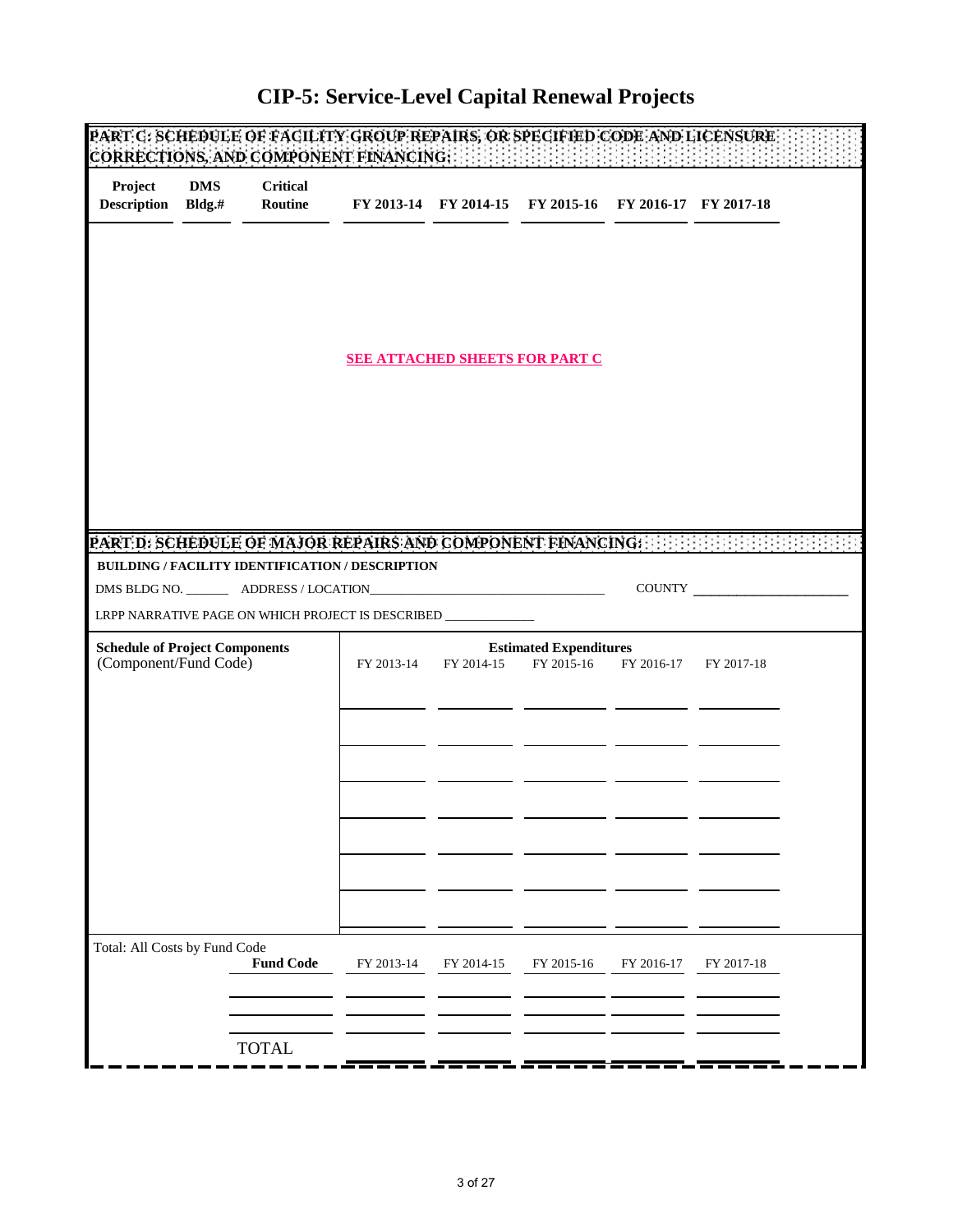|                                                                |                        |                            | PART C: SCHEDULE OF FACILITY GROUP REPAIRS, OR SPECIFIED CODE AND LICENSURE.             |                                       |                                                        |                                  |            |  |
|----------------------------------------------------------------|------------------------|----------------------------|------------------------------------------------------------------------------------------|---------------------------------------|--------------------------------------------------------|----------------------------------|------------|--|
| Project<br><b>Description</b>                                  | <b>DMS</b><br>$Bldg.*$ | <b>Critical</b><br>Routine |                                                                                          |                                       | FY 2013-14 FY 2014-15 FY 2015-16 FY 2016-17 FY 2017-18 |                                  |            |  |
|                                                                |                        |                            |                                                                                          |                                       |                                                        |                                  |            |  |
|                                                                |                        |                            |                                                                                          | <b>SEE ATTACHED SHEETS FOR PART C</b> |                                                        |                                  |            |  |
|                                                                |                        |                            |                                                                                          |                                       |                                                        |                                  |            |  |
|                                                                |                        |                            |                                                                                          |                                       |                                                        |                                  |            |  |
|                                                                |                        |                            | PART D: SCHEDULE OF MAJOR REPAIRS AND COMPONENT FINANCING: And the state of the state of |                                       |                                                        |                                  |            |  |
|                                                                |                        |                            | BUILDING / FACILITY IDENTIFICATION / DESCRIPTION                                         |                                       |                                                        |                                  |            |  |
|                                                                |                        |                            |                                                                                          |                                       |                                                        |                                  | COUNTY     |  |
|                                                                |                        |                            | LRPP NARRATIVE PAGE ON WHICH PROJECT IS DESCRIBED _____________                          |                                       |                                                        |                                  |            |  |
| <b>Schedule of Project Components</b><br>(Component/Fund Code) |                        |                            |                                                                                          | FY 2013-14 FY 2014-15                 | <b>Estimated Expenditures</b>                          | FY 2015-16 FY 2016-17 FY 2017-18 |            |  |
|                                                                |                        |                            |                                                                                          |                                       |                                                        |                                  |            |  |
|                                                                |                        |                            |                                                                                          |                                       |                                                        |                                  |            |  |
|                                                                |                        |                            |                                                                                          |                                       |                                                        |                                  |            |  |
|                                                                |                        |                            |                                                                                          |                                       |                                                        |                                  |            |  |
|                                                                |                        |                            |                                                                                          |                                       |                                                        |                                  |            |  |
|                                                                |                        |                            |                                                                                          |                                       |                                                        |                                  |            |  |
|                                                                |                        |                            |                                                                                          |                                       |                                                        |                                  |            |  |
|                                                                |                        |                            |                                                                                          |                                       |                                                        |                                  |            |  |
| Total: All Costs by Fund Code                                  |                        | <b>Fund Code</b>           | FY 2013-14                                                                               | FY 2014-15                            | FY 2015-16                                             | FY 2016-17                       | FY 2017-18 |  |
|                                                                |                        |                            |                                                                                          |                                       |                                                        |                                  |            |  |
|                                                                |                        | <b>TOTAL</b>               |                                                                                          |                                       |                                                        |                                  |            |  |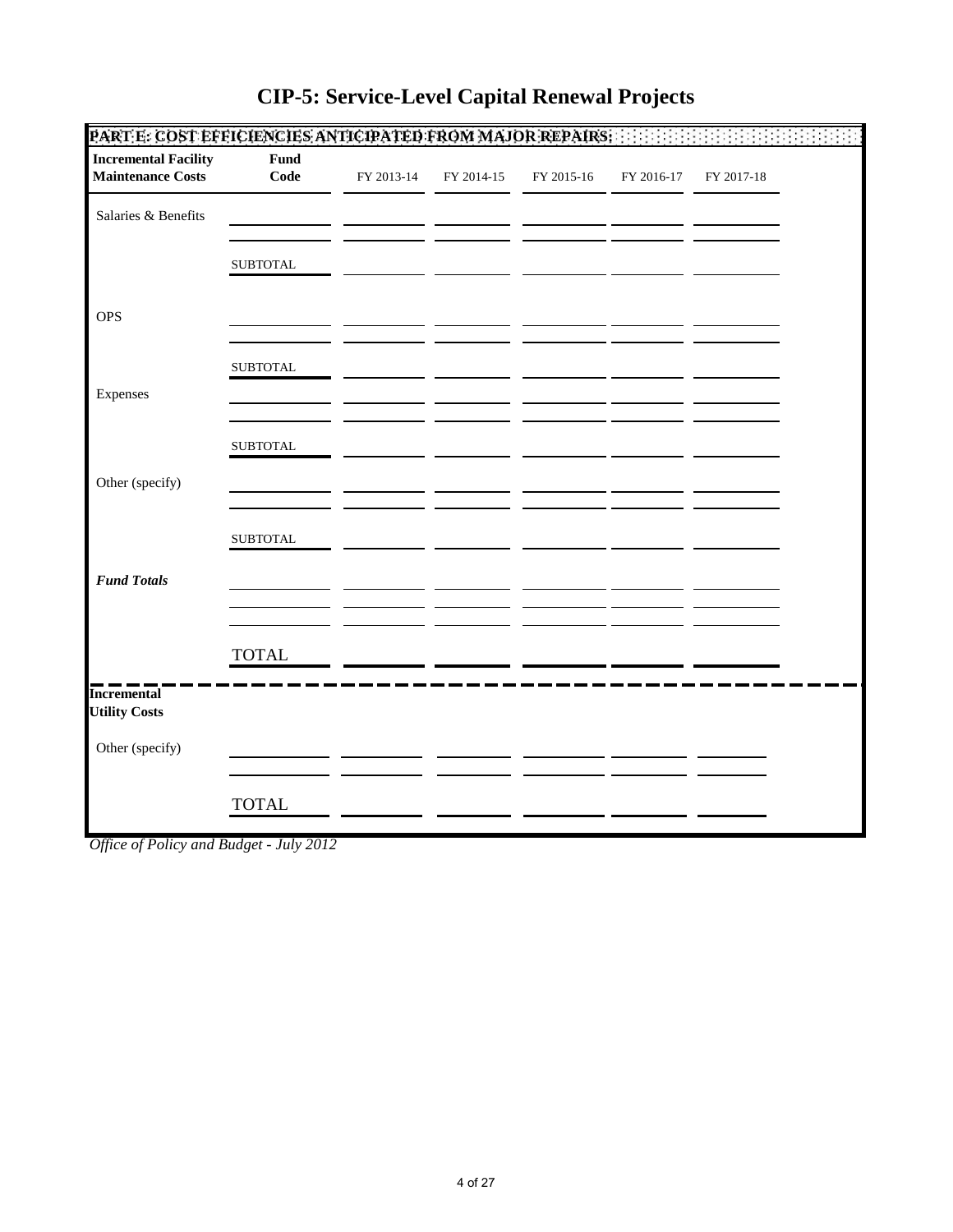| <b>Incremental Facility</b><br>Fund<br><b>Maintenance Costs</b><br>Code<br>FY 2013-14<br>FY 2014-15<br>FY 2015-16<br>FY 2016-17<br>FY 2017-18<br>Salaries & Benefits<br><b>SUBTOTAL</b><br><b>OPS</b><br><b>SUBTOTAL</b><br>Expenses<br><b>SUBTOTAL</b><br>Other (specify)<br><b>SUBTOTAL</b><br><b>Fund Totals</b><br><b>TOTAL</b><br><b>Utility Costs</b><br>Other (specify) | PART E: COST EFFICIENCIES ANTICIPATED FROM MAJOR REPAIRS: |              |  |  | 医性肾炎 |
|--------------------------------------------------------------------------------------------------------------------------------------------------------------------------------------------------------------------------------------------------------------------------------------------------------------------------------------------------------------------------------|-----------------------------------------------------------|--------------|--|--|------|
|                                                                                                                                                                                                                                                                                                                                                                                |                                                           |              |  |  |      |
|                                                                                                                                                                                                                                                                                                                                                                                |                                                           |              |  |  |      |
|                                                                                                                                                                                                                                                                                                                                                                                |                                                           |              |  |  |      |
| <b>Incremental</b>                                                                                                                                                                                                                                                                                                                                                             |                                                           |              |  |  |      |
|                                                                                                                                                                                                                                                                                                                                                                                |                                                           |              |  |  |      |
|                                                                                                                                                                                                                                                                                                                                                                                |                                                           |              |  |  |      |
|                                                                                                                                                                                                                                                                                                                                                                                |                                                           |              |  |  |      |
|                                                                                                                                                                                                                                                                                                                                                                                |                                                           |              |  |  |      |
|                                                                                                                                                                                                                                                                                                                                                                                |                                                           |              |  |  |      |
|                                                                                                                                                                                                                                                                                                                                                                                |                                                           |              |  |  |      |
|                                                                                                                                                                                                                                                                                                                                                                                |                                                           |              |  |  |      |
|                                                                                                                                                                                                                                                                                                                                                                                |                                                           |              |  |  |      |
|                                                                                                                                                                                                                                                                                                                                                                                |                                                           |              |  |  |      |
|                                                                                                                                                                                                                                                                                                                                                                                |                                                           | <b>TOTAL</b> |  |  |      |

*Office of Policy and Budget - July 2012*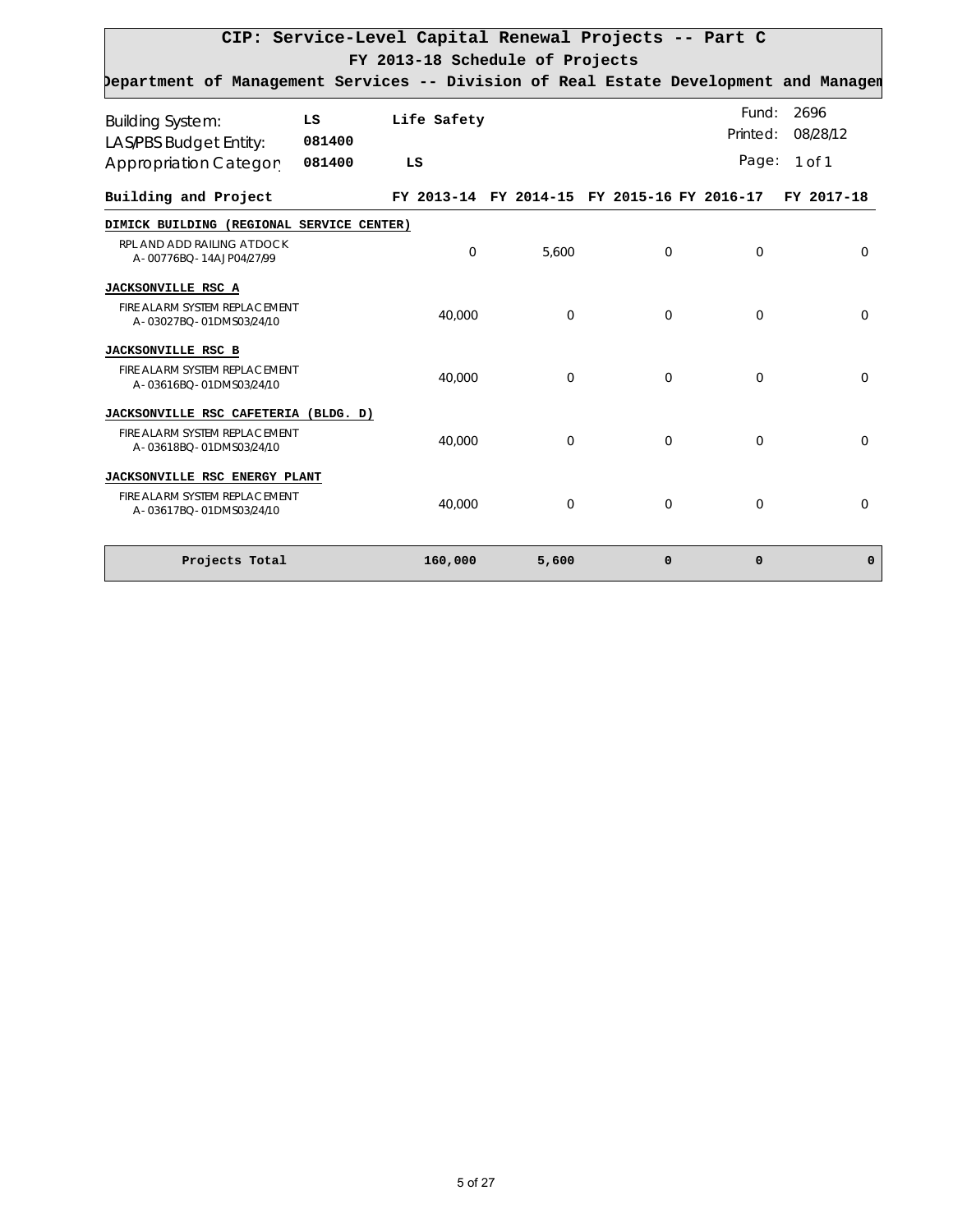|                                                                                      | CIP: Service-Level Capital Renewal Projects -- Part C<br>FY 2013-18 Schedule of Projects |    |             |          |                                             |                   |                  |  |  |  |
|--------------------------------------------------------------------------------------|------------------------------------------------------------------------------------------|----|-------------|----------|---------------------------------------------|-------------------|------------------|--|--|--|
| Department of Management Services -- Division of Real Estate Development and Managem |                                                                                          |    |             |          |                                             |                   |                  |  |  |  |
| <b>Building System:</b><br><b>LAS/PBS Budget Entity:</b>                             | LS<br>081400                                                                             |    | Life Safety |          |                                             | Fund:<br>Printed: | 2696<br>08/28/12 |  |  |  |
| Appropriation Category                                                               | 081400                                                                                   | LS |             |          |                                             | Page:             | $1$ of $1$       |  |  |  |
| Building and Project                                                                 |                                                                                          |    |             |          | FY 2013-14 FY 2014-15 FY 2015-16 FY 2016-17 |                   | FY 2017-18       |  |  |  |
| DIMICK BUILDING (REGIONAL SERVICE CENTER)                                            |                                                                                          |    |             |          |                                             |                   |                  |  |  |  |
| RPL AND ADD RAILING AT DOCK<br>A-00776BQ-14AJP04/27/99                               |                                                                                          |    | $\Omega$    | 5.600    | $\Omega$                                    | $\Omega$          | $\Omega$         |  |  |  |
| JACKSONVILLE RSC A                                                                   |                                                                                          |    |             |          |                                             |                   |                  |  |  |  |
| FIRE ALARM SYSTEM REPLACEMENT<br>A-03027BQ-01DMS03/24/10                             |                                                                                          |    | 40,000      | $\Omega$ | $\Omega$                                    | $\Omega$          | $\Omega$         |  |  |  |
| JACKSONVILLE RSC B                                                                   |                                                                                          |    |             |          |                                             |                   |                  |  |  |  |
| FIRE ALARM SYSTEM REPLACEMENT<br>A-03616BQ-01DMS03/24/10                             |                                                                                          |    | 40,000      | $\Omega$ | $\Omega$                                    | $\Omega$          | $\Omega$         |  |  |  |
| JACKSONVILLE RSC CAFETERIA (BLDG. D)                                                 |                                                                                          |    |             |          |                                             |                   |                  |  |  |  |
| FIRE ALARM SYSTEM REPLACEMENT<br>A-03618BQ-01DMS03/24/10                             |                                                                                          |    | 40,000      | $\Omega$ | $\Omega$                                    | $\Omega$          | $\Omega$         |  |  |  |
| JACKSONVILLE RSC ENERGY PLANT                                                        |                                                                                          |    |             |          |                                             |                   |                  |  |  |  |
| FIRE ALARM SYSTEM REPLACEMENT<br>A-03617BQ-01DMS03/24/10                             |                                                                                          |    | 40,000      | $\Omega$ | $\Omega$                                    | $\Omega$          | $\Omega$         |  |  |  |
| Projects Total                                                                       |                                                                                          |    | 160,000     | 5,600    | $\Omega$                                    | $\Omega$          | $\mathbf 0$      |  |  |  |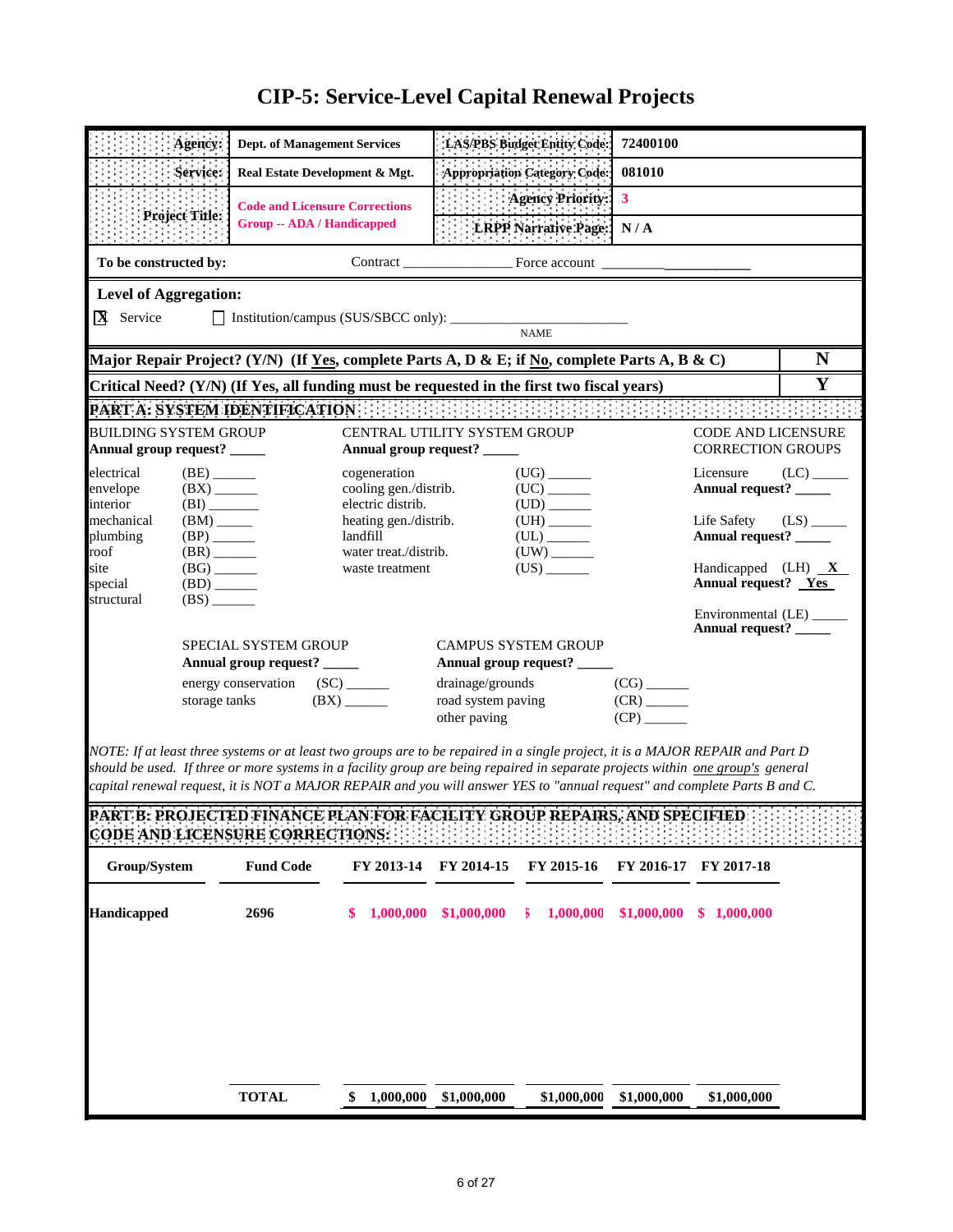|                                                                                                                                                                                                                                                                                                                                                                                                                                                                                                                    | Agency:                                                                                                                   | <b>Dept. of Management Services</b>                                                                   |                                          |                                    | LAS/PBS Budget Entity Code:         | 72400100                  |                                     |                         |  |
|--------------------------------------------------------------------------------------------------------------------------------------------------------------------------------------------------------------------------------------------------------------------------------------------------------------------------------------------------------------------------------------------------------------------------------------------------------------------------------------------------------------------|---------------------------------------------------------------------------------------------------------------------------|-------------------------------------------------------------------------------------------------------|------------------------------------------|------------------------------------|-------------------------------------|---------------------------|-------------------------------------|-------------------------|--|
|                                                                                                                                                                                                                                                                                                                                                                                                                                                                                                                    | Service:                                                                                                                  | Real Estate Development & Mgt.                                                                        |                                          |                                    | <b>Appropriation Category Code:</b> | 081010                    |                                     |                         |  |
|                                                                                                                                                                                                                                                                                                                                                                                                                                                                                                                    |                                                                                                                           | <b>Code and Licensure Corrections</b>                                                                 |                                          |                                    | <b>Agency Priority:</b>             | $\mathbf{3}$              |                                     |                         |  |
| <b>Project Title:</b>                                                                                                                                                                                                                                                                                                                                                                                                                                                                                              |                                                                                                                           | <b>Group -- ADA / Handicapped</b>                                                                     |                                          |                                    | <b>LRPP Narrative Page:</b>         | N/A                       |                                     |                         |  |
| To be constructed by:                                                                                                                                                                                                                                                                                                                                                                                                                                                                                              |                                                                                                                           |                                                                                                       |                                          |                                    |                                     |                           |                                     |                         |  |
| <b>Level of Aggregation:</b>                                                                                                                                                                                                                                                                                                                                                                                                                                                                                       |                                                                                                                           |                                                                                                       |                                          |                                    |                                     |                           |                                     |                         |  |
| <b>X</b> Service                                                                                                                                                                                                                                                                                                                                                                                                                                                                                                   |                                                                                                                           | Institution/campus (SUS/SBCC only): __________                                                        |                                          |                                    | <b>NAME</b>                         |                           |                                     |                         |  |
|                                                                                                                                                                                                                                                                                                                                                                                                                                                                                                                    |                                                                                                                           |                                                                                                       |                                          |                                    |                                     |                           |                                     | N                       |  |
|                                                                                                                                                                                                                                                                                                                                                                                                                                                                                                                    |                                                                                                                           | Major Repair Project? (Y/N) (If <u>Yes</u> , complete Parts A, D & E; if No, complete Parts A, B & C) |                                          |                                    |                                     |                           |                                     | Y                       |  |
| Critical Need? (Y/N) (If Yes, all funding must be requested in the first two fiscal years)<br>PARTA: SYSTEM IDENTIFICATION:                                                                                                                                                                                                                                                                                                                                                                                        |                                                                                                                           |                                                                                                       |                                          |                                    |                                     |                           |                                     |                         |  |
| <b>BUILDING SYSTEM GROUP</b>                                                                                                                                                                                                                                                                                                                                                                                                                                                                                       |                                                                                                                           |                                                                                                       |                                          | CENTRAL UTILITY SYSTEM GROUP       |                                     |                           | <b>CODE AND LICENSURE</b>           |                         |  |
| Annual group request? _____                                                                                                                                                                                                                                                                                                                                                                                                                                                                                        |                                                                                                                           |                                                                                                       |                                          | Annual group request? _____        |                                     |                           | <b>CORRECTION GROUPS</b>            |                         |  |
| electrical<br>$(BE)$ <sub>_______</sub><br>cogeneration<br>Licensure<br>cooling gen./distrib.<br>$(BX)$ <sub>______</sub>                                                                                                                                                                                                                                                                                                                                                                                          |                                                                                                                           |                                                                                                       |                                          |                                    |                                     |                           |                                     | $(LC)$ <sub>_____</sub> |  |
| envelope<br>interior                                                                                                                                                                                                                                                                                                                                                                                                                                                                                               | (BI)                                                                                                                      |                                                                                                       | electric distrib.                        |                                    | $(UC)$ <sub>______</sub>            |                           | Annual request? _____               |                         |  |
| mechanical<br>plumbing                                                                                                                                                                                                                                                                                                                                                                                                                                                                                             | $(BM)$ <sub>_____</sub><br>$(BP)$ <sub>_______</sub>                                                                      |                                                                                                       | heating gen./distrib.<br>landfill        |                                    | (UH)<br>$(UL)$ <sub>______</sub>    |                           | Life Safety<br>Annual request? ____ | $(LS)$ <sub>_____</sub> |  |
| roof<br>site                                                                                                                                                                                                                                                                                                                                                                                                                                                                                                       | $(BR)$ <sub>_______</sub>                                                                                                 |                                                                                                       | water treat./distrib.<br>waste treatment |                                    | $(US)$ <sub>____</sub>              |                           | Handicapped (LH) $X$                |                         |  |
| special                                                                                                                                                                                                                                                                                                                                                                                                                                                                                                            | $\left( \mathrm{B}\mathrm{G}\right) _{\underline{\hspace{1cm}\hspace{1cm}\dots\hspace{1cm}}}$<br>$(BD)$ <sub>______</sub> |                                                                                                       |                                          |                                    |                                     |                           | Annual request? Yes                 |                         |  |
| structural                                                                                                                                                                                                                                                                                                                                                                                                                                                                                                         | $(BS)$ <sub>_______</sub>                                                                                                 |                                                                                                       |                                          |                                    |                                     |                           | Environmental (LE) _____            |                         |  |
| Annual request? _____                                                                                                                                                                                                                                                                                                                                                                                                                                                                                              |                                                                                                                           |                                                                                                       |                                          |                                    |                                     |                           |                                     |                         |  |
| SPECIAL SYSTEM GROUP<br><b>CAMPUS SYSTEM GROUP</b><br>Annual group request? _____<br>Annual group request? _____                                                                                                                                                                                                                                                                                                                                                                                                   |                                                                                                                           |                                                                                                       |                                          |                                    |                                     |                           |                                     |                         |  |
|                                                                                                                                                                                                                                                                                                                                                                                                                                                                                                                    |                                                                                                                           | energy conservation (SC) _____                                                                        |                                          | drainage/grounds                   |                                     | $(CG)$ <sub>_______</sub> |                                     |                         |  |
|                                                                                                                                                                                                                                                                                                                                                                                                                                                                                                                    | storage tanks                                                                                                             |                                                                                                       | $(BX)$ <sub>______</sub>                 | road system paving<br>other paving |                                     | $(CR)$ <sub>______</sub>  |                                     |                         |  |
| NOTE: If at least three systems or at least two groups are to be repaired in a single project, it is a MAJOR REPAIR and Part D<br>should be used. If three or more systems in a facility group are being repaired in separate projects within one group's general<br>capital renewal request, it is NOT a MAJOR REPAIR and you will answer YES to "annual request" and complete Parts B and C.<br>PART R-PROJECTED FINANCE PLANFOR EACTLITY GROUP REPAIRS. AND SPECIFIED<br><b>CODE AND LICENSURE CORRECTIONS:</b> |                                                                                                                           |                                                                                                       |                                          |                                    |                                     |                           |                                     |                         |  |
| Group/System                                                                                                                                                                                                                                                                                                                                                                                                                                                                                                       |                                                                                                                           | <b>Fund Code</b>                                                                                      | FY 2013-14                               | FY 2014-15                         | FY 2015-16                          |                           | FY 2016-17 FY 2017-18               |                         |  |
| <b>Handicapped</b>                                                                                                                                                                                                                                                                                                                                                                                                                                                                                                 |                                                                                                                           | 2696                                                                                                  | 1,000,000<br>\$                          | \$1,000,000                        | 1,000,000<br>B                      | \$1,000,000               | \$1,000,000                         |                         |  |
|                                                                                                                                                                                                                                                                                                                                                                                                                                                                                                                    |                                                                                                                           |                                                                                                       |                                          |                                    |                                     |                           |                                     |                         |  |
|                                                                                                                                                                                                                                                                                                                                                                                                                                                                                                                    |                                                                                                                           |                                                                                                       |                                          |                                    |                                     |                           |                                     |                         |  |
|                                                                                                                                                                                                                                                                                                                                                                                                                                                                                                                    |                                                                                                                           |                                                                                                       |                                          |                                    |                                     |                           |                                     |                         |  |
|                                                                                                                                                                                                                                                                                                                                                                                                                                                                                                                    |                                                                                                                           |                                                                                                       |                                          |                                    |                                     |                           |                                     |                         |  |
|                                                                                                                                                                                                                                                                                                                                                                                                                                                                                                                    |                                                                                                                           |                                                                                                       |                                          |                                    |                                     |                           |                                     |                         |  |
|                                                                                                                                                                                                                                                                                                                                                                                                                                                                                                                    |                                                                                                                           |                                                                                                       |                                          |                                    |                                     |                           |                                     |                         |  |
|                                                                                                                                                                                                                                                                                                                                                                                                                                                                                                                    |                                                                                                                           | <b>TOTAL</b>                                                                                          | \$1,000,000                              | \$1,000,000                        | \$1,000,000                         | \$1,000,000               | \$1,000,000                         |                         |  |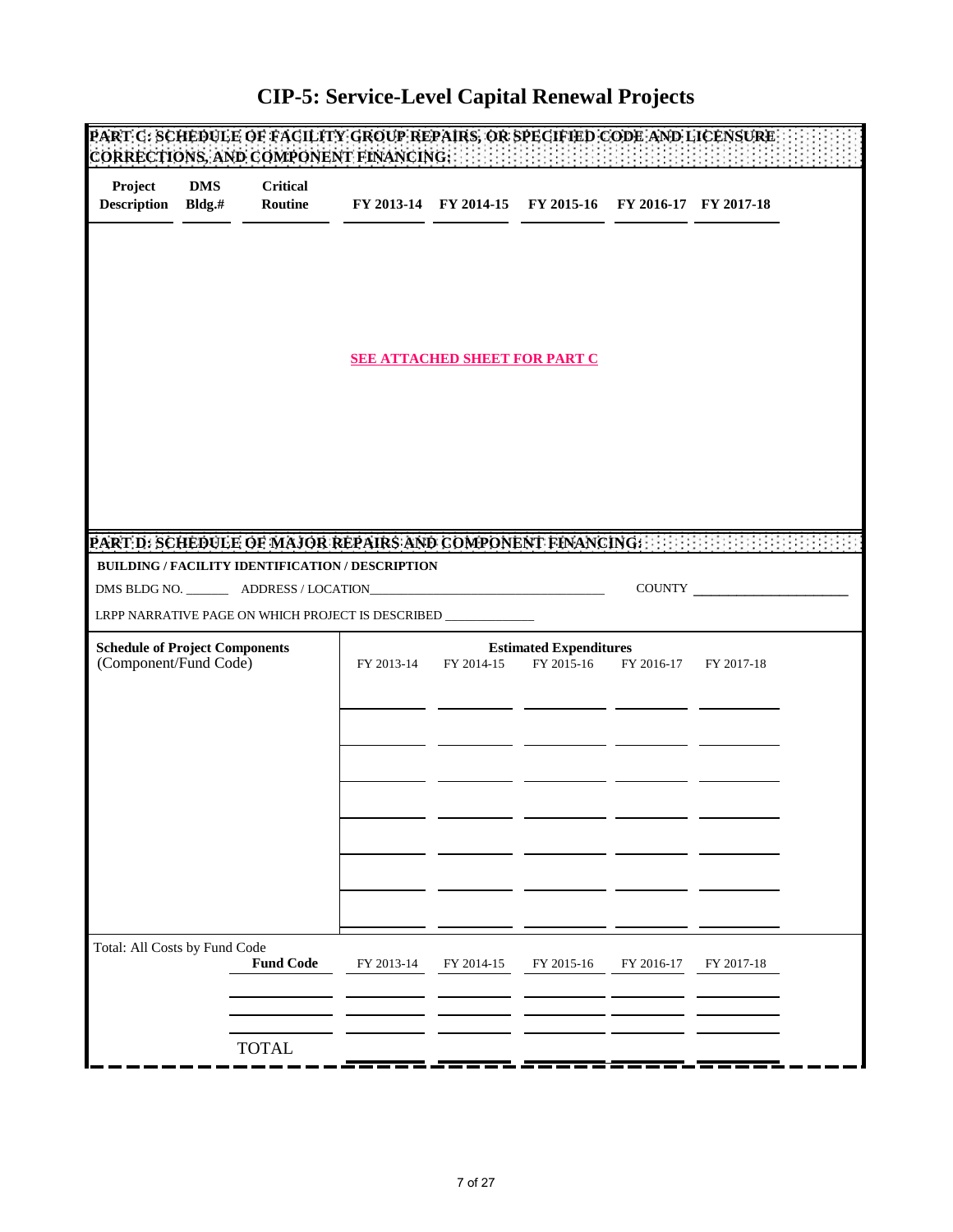| <b>DMS</b><br><b>Critical</b><br>Project<br>$Bldg.*$<br><b>Description</b><br>Routine<br>FY 2013-14 FY 2014-15 FY 2015-16 FY 2016-17 FY 2017-18<br><b>SEE ATTACHED SHEET FOR PART C</b> |  |  |  |  |  |  |
|-----------------------------------------------------------------------------------------------------------------------------------------------------------------------------------------|--|--|--|--|--|--|
|                                                                                                                                                                                         |  |  |  |  |  |  |
|                                                                                                                                                                                         |  |  |  |  |  |  |
|                                                                                                                                                                                         |  |  |  |  |  |  |
|                                                                                                                                                                                         |  |  |  |  |  |  |
| PART D: SCHEDULE OF MAJOR REPAIRS AND COMPONENT FINANCING: And the state of the state of                                                                                                |  |  |  |  |  |  |
| BUILDING / FACILITY IDENTIFICATION / DESCRIPTION                                                                                                                                        |  |  |  |  |  |  |
| COUNTY                                                                                                                                                                                  |  |  |  |  |  |  |
| LRPP NARRATIVE PAGE ON WHICH PROJECT IS DESCRIBED _____________                                                                                                                         |  |  |  |  |  |  |
| <b>Schedule of Project Components</b><br><b>Estimated Expenditures</b>                                                                                                                  |  |  |  |  |  |  |
| (Component/Fund Code)<br>FY 2013-14 FY 2014-15<br>FY 2015-16 FY 2016-17 FY 2017-18                                                                                                      |  |  |  |  |  |  |
|                                                                                                                                                                                         |  |  |  |  |  |  |
|                                                                                                                                                                                         |  |  |  |  |  |  |
|                                                                                                                                                                                         |  |  |  |  |  |  |
|                                                                                                                                                                                         |  |  |  |  |  |  |
|                                                                                                                                                                                         |  |  |  |  |  |  |
|                                                                                                                                                                                         |  |  |  |  |  |  |
|                                                                                                                                                                                         |  |  |  |  |  |  |
|                                                                                                                                                                                         |  |  |  |  |  |  |
|                                                                                                                                                                                         |  |  |  |  |  |  |
| Total: All Costs by Fund Code<br><b>Fund Code</b><br>FY 2013-14<br>FY 2014-15<br>FY 2015-16<br>FY 2016-17<br>FY 2017-18                                                                 |  |  |  |  |  |  |
|                                                                                                                                                                                         |  |  |  |  |  |  |
| <b>TOTAL</b>                                                                                                                                                                            |  |  |  |  |  |  |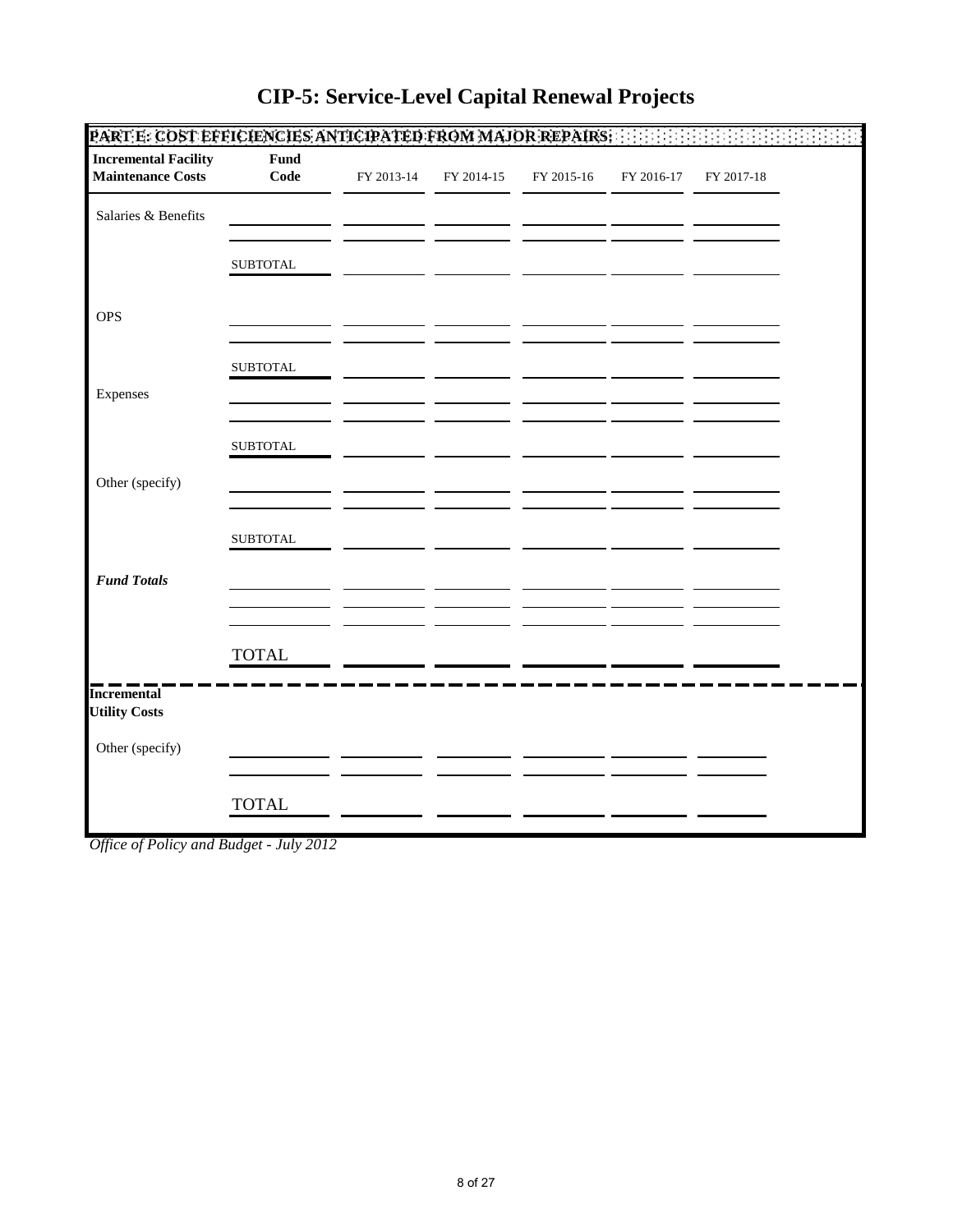| <b>Incremental Facility</b><br>Fund<br><b>Maintenance Costs</b><br>Code<br>FY 2013-14<br>FY 2014-15<br>FY 2015-16<br>FY 2016-17<br>FY 2017-18<br>Salaries & Benefits<br><b>SUBTOTAL</b><br><b>OPS</b><br><b>SUBTOTAL</b><br>Expenses<br><b>SUBTOTAL</b><br>Other (specify)<br><b>SUBTOTAL</b><br><b>Fund Totals</b><br><b>TOTAL</b><br><b>Utility Costs</b><br>Other (specify) | PART E: COST EFFICIENCIES ANTICIPATED FROM MAJOR REPAIRS: |              |  |  | 医性肾炎 |
|--------------------------------------------------------------------------------------------------------------------------------------------------------------------------------------------------------------------------------------------------------------------------------------------------------------------------------------------------------------------------------|-----------------------------------------------------------|--------------|--|--|------|
|                                                                                                                                                                                                                                                                                                                                                                                |                                                           |              |  |  |      |
|                                                                                                                                                                                                                                                                                                                                                                                |                                                           |              |  |  |      |
|                                                                                                                                                                                                                                                                                                                                                                                |                                                           |              |  |  |      |
| <b>Incremental</b>                                                                                                                                                                                                                                                                                                                                                             |                                                           |              |  |  |      |
|                                                                                                                                                                                                                                                                                                                                                                                |                                                           |              |  |  |      |
|                                                                                                                                                                                                                                                                                                                                                                                |                                                           |              |  |  |      |
|                                                                                                                                                                                                                                                                                                                                                                                |                                                           |              |  |  |      |
|                                                                                                                                                                                                                                                                                                                                                                                |                                                           |              |  |  |      |
|                                                                                                                                                                                                                                                                                                                                                                                |                                                           |              |  |  |      |
|                                                                                                                                                                                                                                                                                                                                                                                |                                                           |              |  |  |      |
|                                                                                                                                                                                                                                                                                                                                                                                |                                                           |              |  |  |      |
|                                                                                                                                                                                                                                                                                                                                                                                |                                                           |              |  |  |      |
|                                                                                                                                                                                                                                                                                                                                                                                |                                                           |              |  |  |      |
|                                                                                                                                                                                                                                                                                                                                                                                |                                                           | <b>TOTAL</b> |  |  |      |

*Office of Policy and Budget - July 2012*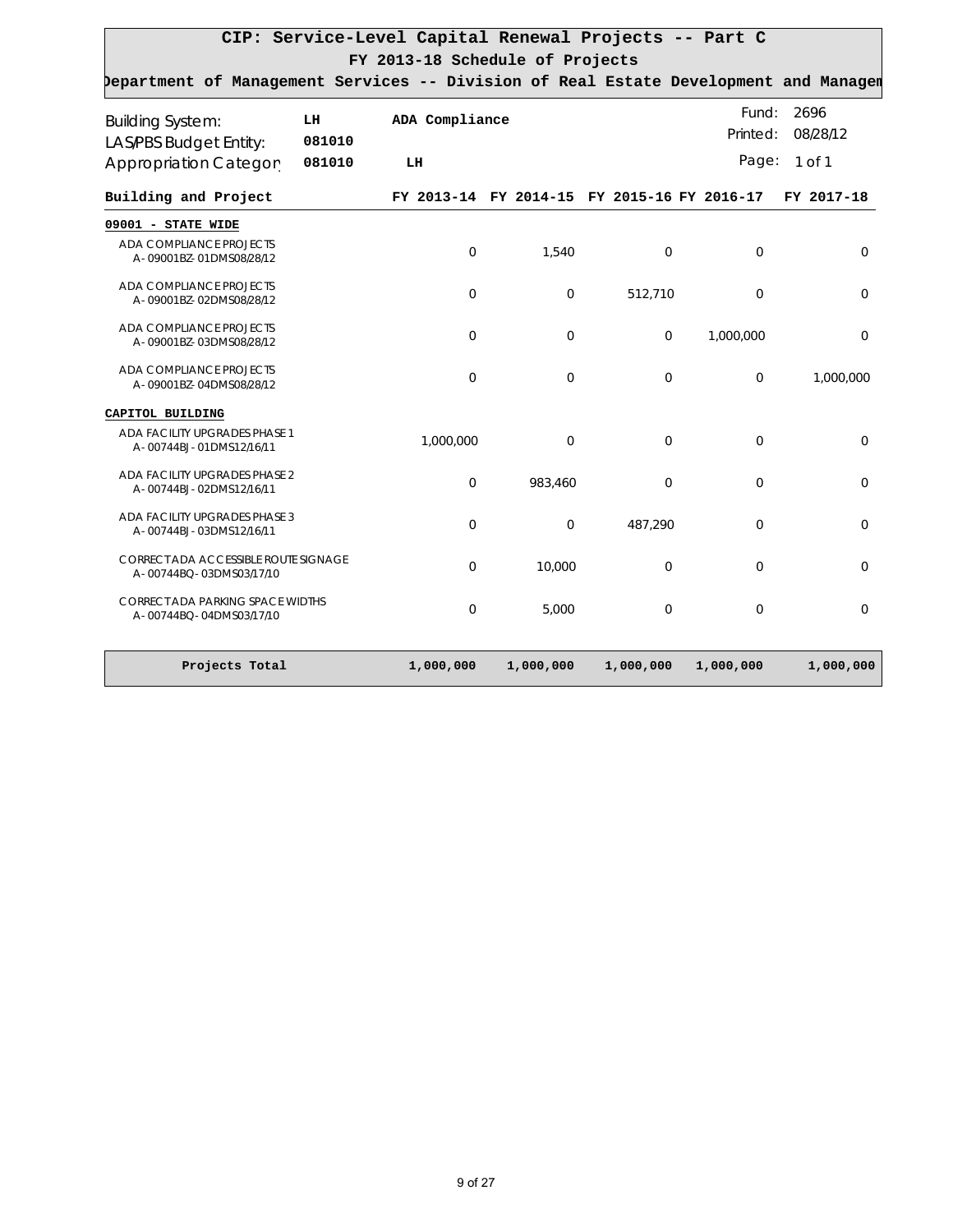| Department of Management Services -- Division of Real Estate Development and Managem |              |                |                |                                             |                   |                  |
|--------------------------------------------------------------------------------------|--------------|----------------|----------------|---------------------------------------------|-------------------|------------------|
| <b>Building System:</b><br>LAS/PBS Budget Entity:                                    | LH<br>081010 | ADA Compliance |                |                                             | Fund:<br>Printed: | 2696<br>08/28/12 |
| Appropriation Category                                                               | 081010       | LH             |                |                                             | Page:             | 1 of 1           |
|                                                                                      |              |                |                |                                             |                   |                  |
| Building and Project                                                                 |              |                |                | FY 2013-14 FY 2014-15 FY 2015-16 FY 2016-17 |                   | FY 2017-18       |
| 09001 - STATE WIDE                                                                   |              |                |                |                                             |                   |                  |
| ADA COMPLIANCE PROJECTS<br>A-09001BZ-01DMS08/28/12                                   |              | $\Omega$       | 1,540          | $\Omega$                                    | $\Omega$          | $\Omega$         |
| ADA COMPLIANCE PROJECTS<br>A-09001BZ-02DMS08/28/12                                   |              | $\Omega$       | $\Omega$       | 512,710                                     | $\Omega$          | $\Omega$         |
| ADA COMPLIANCE PROJECTS<br>A-09001BZ-03DMS08/28/12                                   |              | $\Omega$       | $\Omega$       | $\mathbf{O}$                                | 1,000,000         | $\Omega$         |
| ADA COMPLIANCE PROJECTS<br>A-09001BZ-04DMS08/28/12                                   |              | $\mathbf 0$    | $\overline{0}$ | $\overline{0}$                              | 0                 | 1.000.000        |
| CAPITOL BUILDING                                                                     |              |                |                |                                             |                   |                  |
| ADA FACILITY UPGRADES PHASE 1<br>A-00744BJ-01DMS12/16/11                             |              | 1,000,000      | 0              | $\mathbf 0$                                 | 0                 | $\mathbf 0$      |
| ADA FACILITY UPGRADES PHASE 2<br>A-00744BJ-02DMS12/16/11                             |              | $\Omega$       | 983,460        | $\Omega$                                    | $\Omega$          | $\Omega$         |
| ADA FACILITY UPGRADES PHASE 3<br>A-00744BJ-03DMS12/16/11                             |              | $\overline{0}$ | $\overline{0}$ | 487,290                                     | $\overline{0}$    | $\mathbf 0$      |
| CORRECT ADA ACCESSIBLE ROUTE SIGNAGE<br>A-00744BQ-03DMS03/17/10                      |              | $\Omega$       | 10,000         | $\Omega$                                    | $\Omega$          | $\Omega$         |
| <b>CORRECT ADA PARKING SPACE WIDTHS</b><br>A-00744BQ-04DMS03/17/10                   |              | $\Omega$       | 5.000          | $\Omega$                                    | $\Omega$          | $\Omega$         |
| Projects Total                                                                       |              | 1,000,000      | 1,000,000      | 1,000,000                                   | 1,000,000         | 1,000,000        |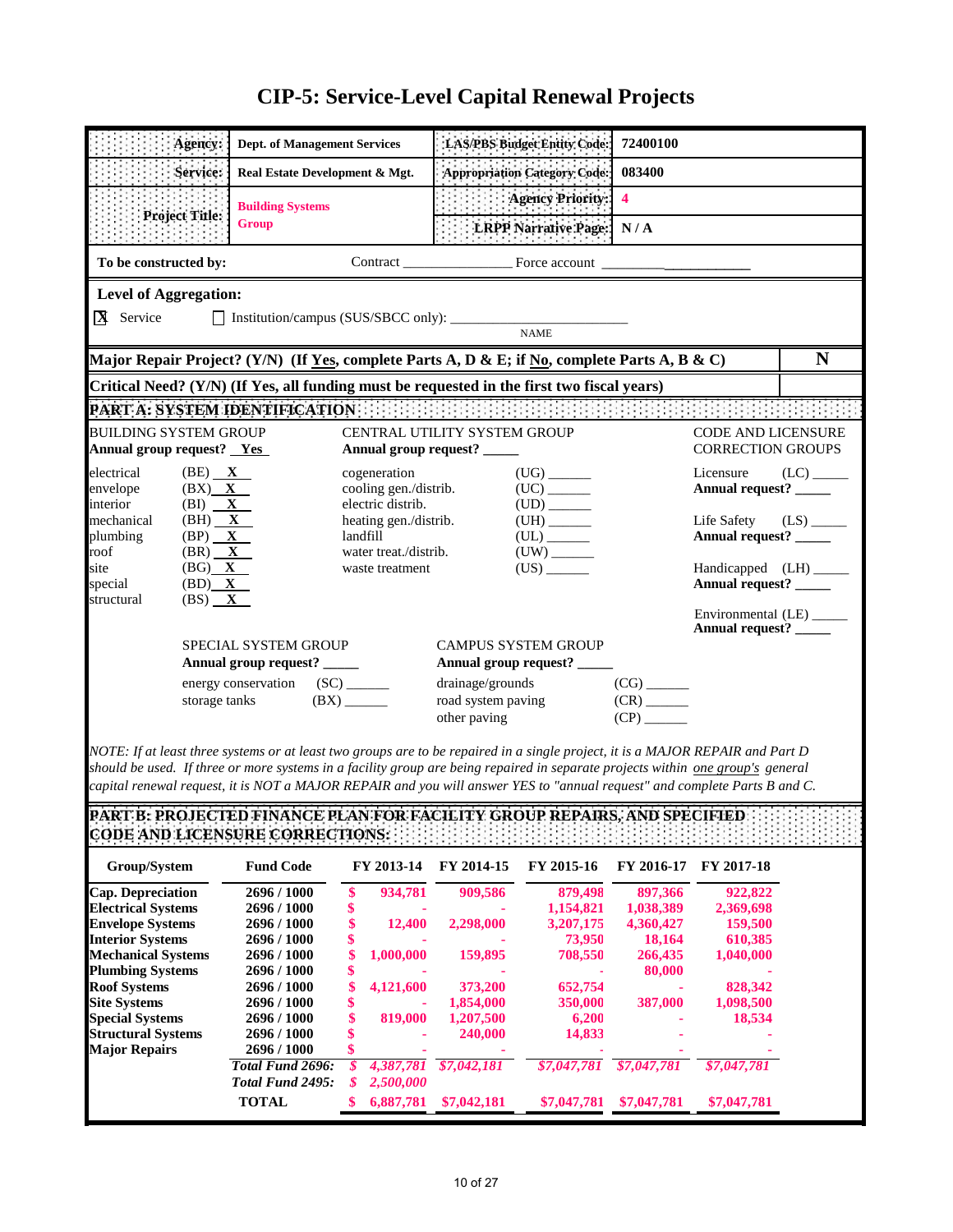| <b>CIP-5: Service-Level Capital Renewal Projects</b> |  |  |  |
|------------------------------------------------------|--|--|--|
|------------------------------------------------------|--|--|--|

|                              | Agency:                           |                             | <b>Dept. of Management Services</b>        | LAS/PBS Budget Entity Code:                                                                                   | 72400100                 |                                               |                         |  |
|------------------------------|-----------------------------------|-----------------------------|--------------------------------------------|---------------------------------------------------------------------------------------------------------------|--------------------------|-----------------------------------------------|-------------------------|--|
|                              | Service:                          |                             | Real Estate Development & Mgt.             | Appropriation Category Code:                                                                                  | 083400                   |                                               |                         |  |
|                              |                                   | <b>Building Systems</b>     |                                            | <b>Agency Priority:</b>                                                                                       | $\overline{\mathbf{4}}$  |                                               |                         |  |
|                              | <b>Project Title:</b>             | <b>Group</b>                |                                            | <b>LRPP Narrative Page:</b>                                                                                   | N/A                      |                                               |                         |  |
| To be constructed by:        |                                   |                             |                                            |                                                                                                               |                          |                                               |                         |  |
| <b>Level of Aggregation:</b> |                                   |                             |                                            |                                                                                                               |                          |                                               |                         |  |
| <b>X</b> Service             |                                   |                             |                                            | <b>NAME</b>                                                                                                   |                          |                                               |                         |  |
|                              |                                   |                             |                                            |                                                                                                               |                          |                                               |                         |  |
|                              |                                   |                             |                                            | Major Repair Project? (Y/N) (If <u>Yes</u> , complete Parts A, D & E; if <u>No</u> , complete Parts A, B & C) |                          |                                               | N                       |  |
|                              |                                   |                             |                                            | Critical Need? (Y/N) (If Yes, all funding must be requested in the first two fiscal years)                    |                          |                                               |                         |  |
|                              |                                   |                             |                                            | PARTA: SYSTEM IDENTIFICATION FOR THE RESERVE THE RESERVE                                                      |                          |                                               |                         |  |
| <b>BUILDING SYSTEM GROUP</b> |                                   |                             |                                            | CENTRAL UTILITY SYSTEM GROUP                                                                                  |                          | <b>CODE AND LICENSURE</b>                     |                         |  |
| Annual group request? Yes    |                                   |                             |                                            | Annual group request? _____                                                                                   |                          | <b>CORRECTION GROUPS</b>                      |                         |  |
| electrical                   | $(BE)$ $X$                        |                             | cogeneration                               |                                                                                                               |                          | Licensure                                     | $(LC)$ <sub>_____</sub> |  |
| envelope                     | $(BX)$ X<br>$(BI)$ $\overline{X}$ |                             | cooling gen./distrib.                      | $(UC)$ <sub>_______</sub>                                                                                     |                          | Annual request? _____                         |                         |  |
| interior<br>mechanical       | $(BH)$ $X$                        |                             | electric distrib.<br>heating gen./distrib. | ${\rm (UH)} \xrightarrow{\phantom{a}}$                                                                        |                          | Life Safety                                   | $(LS)$ <sub>_____</sub> |  |
| plumbing                     | $(BP)$ $X$                        |                             | landfill                                   |                                                                                                               |                          | Annual request? _____                         |                         |  |
| roof                         | $(BR)$ $X$                        |                             | water treat./distrib.                      | $(UW)$ <sub>_______</sub>                                                                                     |                          |                                               |                         |  |
| site<br>special              | $(BG)$ <b>X</b><br>$(BD)$ X       |                             | waste treatment                            | $(US)$ <sub>______</sub>                                                                                      |                          | Handicapped (LH) ____<br>Annual request? ____ |                         |  |
| structural                   | $(BS)$ $X$                        |                             |                                            |                                                                                                               |                          |                                               |                         |  |
|                              |                                   |                             |                                            |                                                                                                               |                          | Environmental (LE)<br>Annual request? _____   |                         |  |
|                              |                                   | SPECIAL SYSTEM GROUP        |                                            | <b>CAMPUS SYSTEM GROUP</b>                                                                                    |                          |                                               |                         |  |
|                              |                                   | Annual group request? _____ |                                            | Annual group request? _____                                                                                   |                          |                                               |                         |  |
|                              |                                   |                             | energy conservation (SC) ______            | drainage/grounds                                                                                              | $(CG)$ <sub>______</sub> |                                               |                         |  |
|                              | storage tanks                     |                             | (BX)                                       | road system paving                                                                                            | $(CR)$ <sub>______</sub> |                                               |                         |  |
|                              |                                   |                             |                                            | other paving                                                                                                  | (CP)                     |                                               |                         |  |

*NOTE: If at least three systems or at least two groups are to be repaired in a single project, it is a MAJOR REPAIR and Part D should be used. If three or more systems in a facility group are being repaired in separate projects within one group's general capital renewal request, it is NOT a MAJOR REPAIR and you will answer YES to "annual request" and complete Parts B and C.*

**PART B: PROJECTED FINANCE PLAN FOR FACILITY GROUP REPAIRS, AND SPECIFIED CODE AND LICENSURE CORRECTIONS:**

| Group/System              | <b>Fund Code</b> |    | FY 2013-14 | FY 2014-15  | FY 2015-16  | FY 2016-17  | FY 2017-18  |
|---------------------------|------------------|----|------------|-------------|-------------|-------------|-------------|
| Cap. Depreciation         | 2696/1000        | \$ | 934,781    | 909,586     | 879,498     | 897.366     | 922,822     |
| <b>Electrical Systems</b> | 2696/1000        |    |            |             | 1,154,821   | 1,038,389   | 2,369,698   |
| <b>Envelope Systems</b>   | 2696/1000        |    | 12,400     | 2,298,000   | 3,207,175   | 4,360,427   | 159,500     |
| <b>Interior Systems</b>   | 2696/1000        |    |            |             | 73,950      | 18,164      | 610,385     |
| <b>Mechanical Systems</b> | 2696/1000        |    | 1,000,000  | 159,895     | 708.550     | 266,435     | 1,040,000   |
| <b>Plumbing Systems</b>   | 2696/1000        |    |            |             |             | 80,000      |             |
| <b>Roof Systems</b>       | 2696/1000        | S  | 4,121,600  | 373,200     | 652,754     |             | 828,342     |
| <b>Site Systems</b>       | 2696/1000        | \$ | ۰          | 1,854,000   | 350,000     | 387,000     | 1,098,500   |
| <b>Special Systems</b>    | 2696/1000        |    | 819,000    | 1,207,500   | 6,200       |             | 18.534      |
| <b>Structural Systems</b> | 2696/1000        |    |            | 240,000     | 14,833      |             |             |
| <b>Major Repairs</b>      | 2696/1000        |    |            |             |             |             |             |
|                           | Total Fund 2696: |    | 4,387,781  | \$7,042,181 | \$7,047,781 | \$7,047,781 | \$7,047,781 |
|                           | Total Fund 2495: | S  | 2,500,000  |             |             |             |             |
|                           | <b>TOTAL</b>     |    | 6,887,781  | \$7,042,181 | \$7,047,781 | \$7,047,781 | \$7,047,781 |
|                           |                  |    |            |             |             |             |             |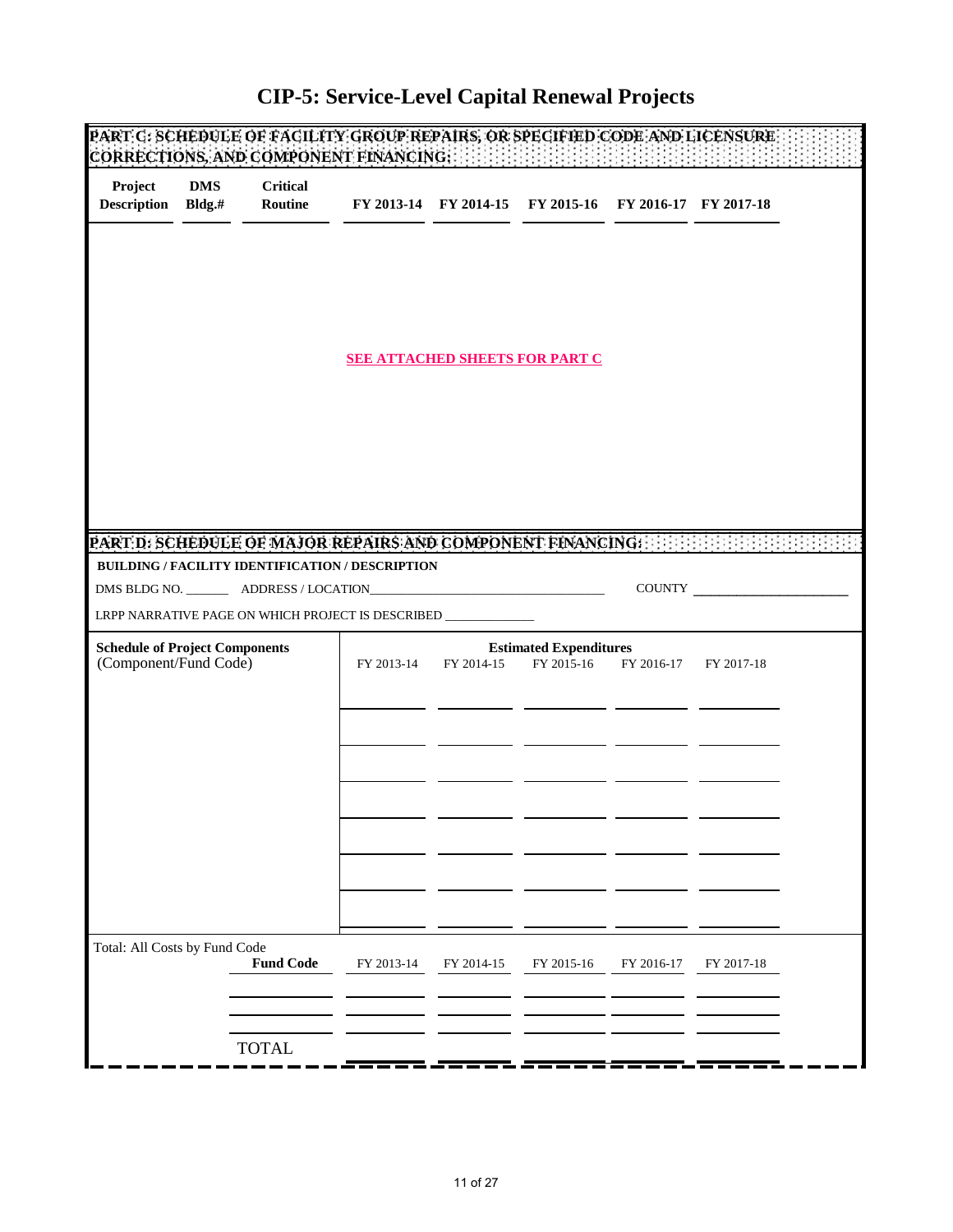| <b>CIP-5: Service-Level Capital Renewal Projects</b> |  |  |
|------------------------------------------------------|--|--|
|------------------------------------------------------|--|--|

| CORRECTIONS, AND COMPONENT FINANCING: A RECEIVED               |                         |                            |                                                                                                                      |                                       |                                                        |                       |            |  |
|----------------------------------------------------------------|-------------------------|----------------------------|----------------------------------------------------------------------------------------------------------------------|---------------------------------------|--------------------------------------------------------|-----------------------|------------|--|
| Project<br><b>Description</b>                                  | <b>DMS</b><br>$Bldg$ .# | <b>Critical</b><br>Routine |                                                                                                                      |                                       | FY 2013-14 FY 2014-15 FY 2015-16 FY 2016-17 FY 2017-18 |                       |            |  |
|                                                                |                         |                            |                                                                                                                      | <b>SEE ATTACHED SHEETS FOR PART C</b> |                                                        |                       |            |  |
|                                                                |                         |                            | PART D: SCHEDULE OF MAJOR REPAIRS AND COMPONENT FINANCING: : : :<br>BUILDING / FACILITY IDENTIFICATION / DESCRIPTION |                                       |                                                        |                       |            |  |
|                                                                |                         |                            | LRPP NARRATIVE PAGE ON WHICH PROJECT IS DESCRIBED _____________                                                      |                                       |                                                        |                       | COUNTY     |  |
| <b>Schedule of Project Components</b><br>(Component/Fund Code) |                         |                            | FY 2013-14                                                                                                           | FY 2014-15                            | <b>Estimated Expenditures</b><br>FY 2015-16            | FY 2016-17 FY 2017-18 |            |  |
|                                                                |                         |                            |                                                                                                                      |                                       |                                                        |                       |            |  |
|                                                                |                         |                            |                                                                                                                      |                                       |                                                        |                       |            |  |
|                                                                |                         |                            |                                                                                                                      |                                       |                                                        |                       |            |  |
|                                                                |                         |                            |                                                                                                                      |                                       |                                                        |                       |            |  |
| Total: All Costs by Fund Code                                  |                         | <b>Fund Code</b>           | FY 2013-14                                                                                                           | FY 2014-15                            | FY 2015-16                                             | FY 2016-17            | FY 2017-18 |  |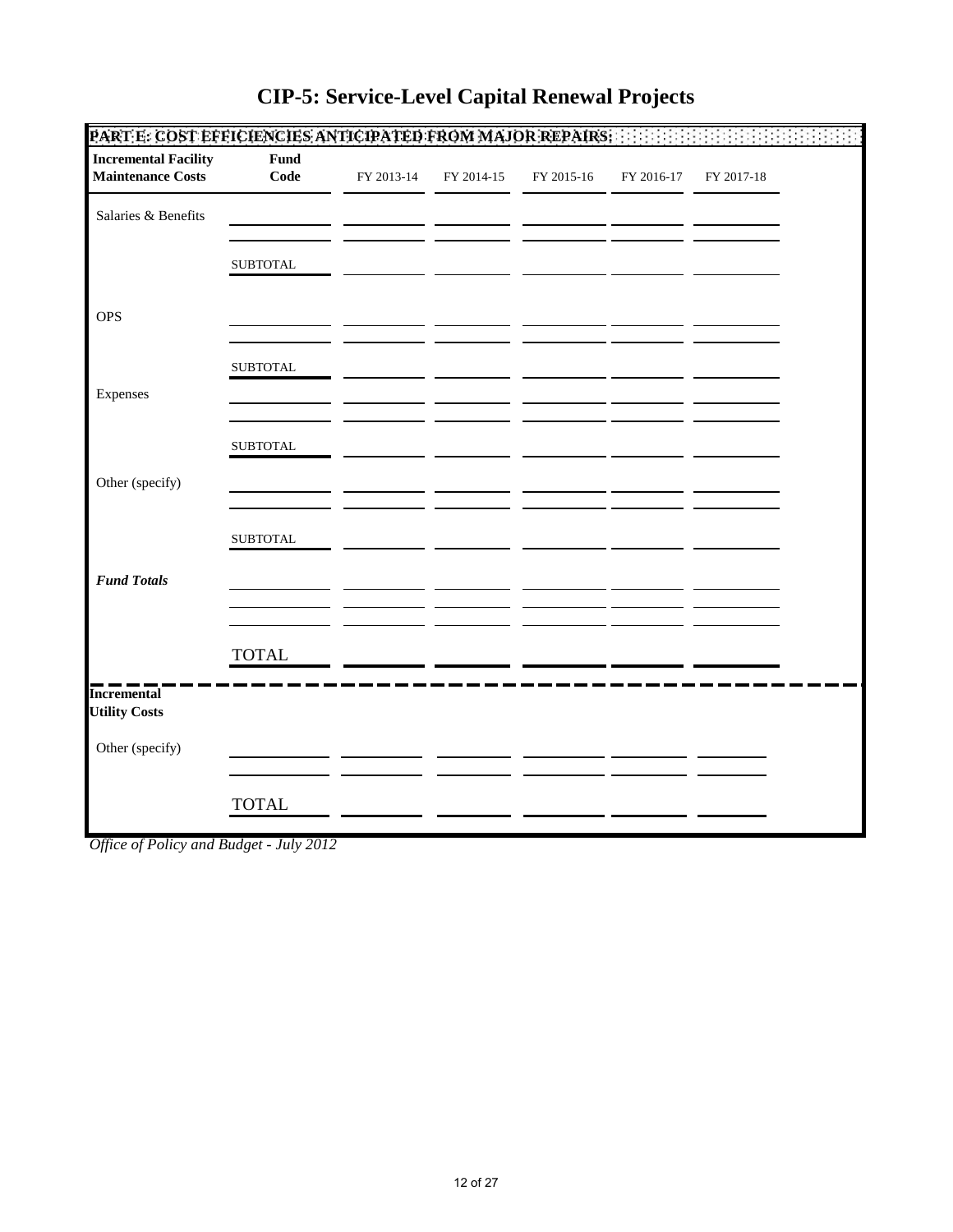| PARTE: COST EFFICIENCIES ANTICIPATED FROM MAJOR REPAIRS: [11] [11] [11] [11] [11] [11] |                 |            |            |            |            |            |  |
|----------------------------------------------------------------------------------------|-----------------|------------|------------|------------|------------|------------|--|
| <b>Incremental Facility</b><br><b>Maintenance Costs</b>                                | Fund<br>Code    | FY 2013-14 | FY 2014-15 | FY 2015-16 | FY 2016-17 | FY 2017-18 |  |
| Salaries & Benefits                                                                    |                 |            |            |            |            |            |  |
|                                                                                        | <b>SUBTOTAL</b> |            |            |            |            |            |  |
| <b>OPS</b>                                                                             |                 |            |            |            |            |            |  |
|                                                                                        | <b>SUBTOTAL</b> |            |            |            |            |            |  |
| Expenses                                                                               |                 |            |            |            |            |            |  |
|                                                                                        | <b>SUBTOTAL</b> |            |            |            |            |            |  |
| Other (specify)                                                                        |                 |            |            |            |            |            |  |
|                                                                                        | <b>SUBTOTAL</b> |            |            |            |            |            |  |
| <b>Fund Totals</b>                                                                     |                 |            |            |            |            |            |  |
|                                                                                        | <b>TOTAL</b>    |            |            |            |            |            |  |
| <b>Incremental</b><br><b>Utility Costs</b>                                             |                 |            |            |            |            |            |  |
| Other (specify)                                                                        |                 |            |            |            |            |            |  |
|                                                                                        | <b>TOTAL</b>    |            |            |            |            |            |  |

*Office of Policy and Budget - July 2012*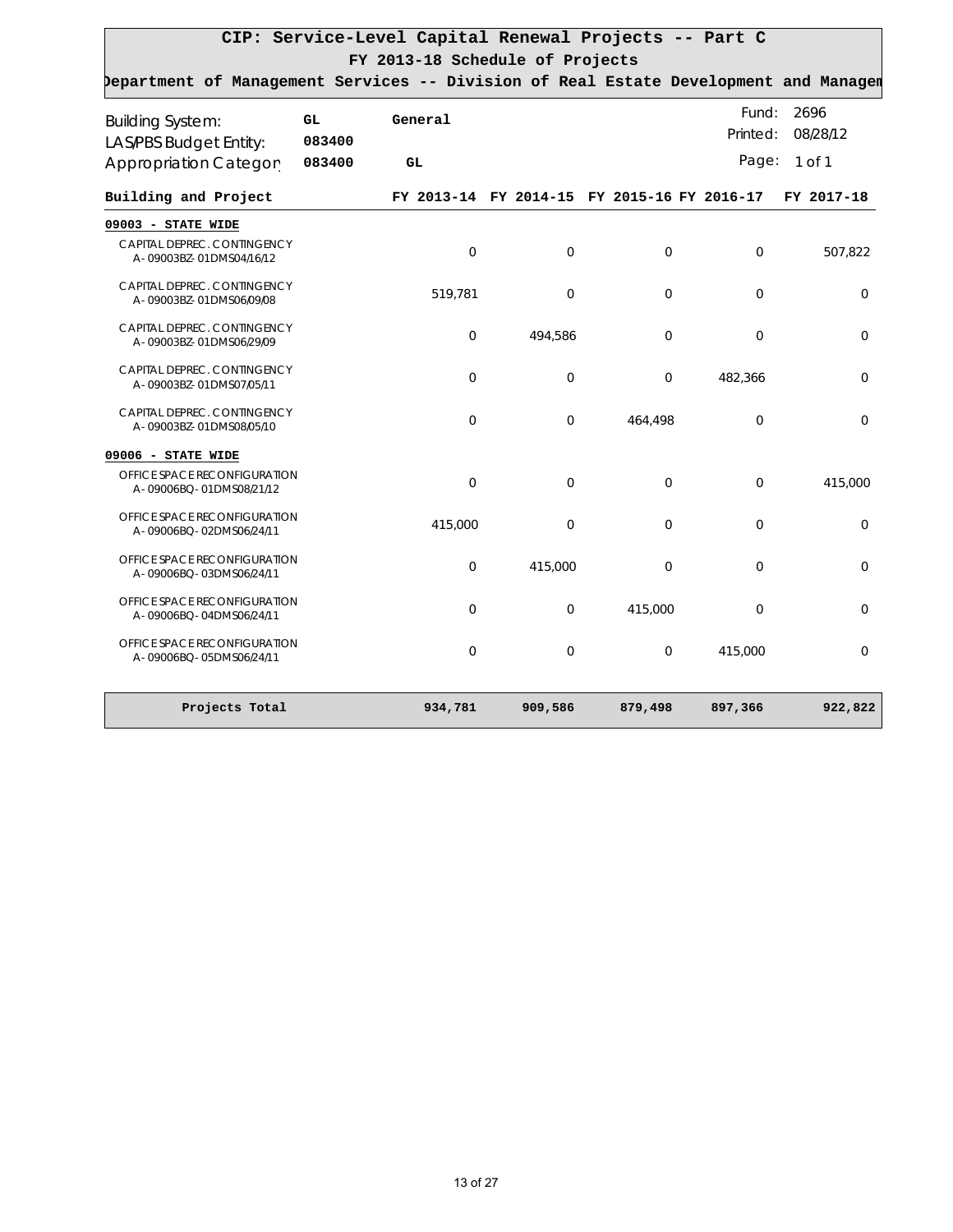| Department of Management Services -- Division of Real Estate Development and Managem |                     |                |                                             |          |                   |                  |
|--------------------------------------------------------------------------------------|---------------------|----------------|---------------------------------------------|----------|-------------------|------------------|
| <b>Building System:</b><br>LAS/PBS Budget Entity:                                    | <b>GL</b><br>083400 | General        |                                             |          | Fund:<br>Printed: | 2696<br>08/28/12 |
| <b>Appropriation Category</b>                                                        | 083400              | GL.            |                                             |          | Page:             | $1$ of $1$       |
| Building and Project                                                                 |                     |                | FY 2013-14 FY 2014-15 FY 2015-16 FY 2016-17 |          |                   | FY 2017-18       |
| $09003 - STATE$ WIDE                                                                 |                     |                |                                             |          |                   |                  |
| CAPITAL DEPREC. CONTINGENCY<br>A-09003BZ-01DMS04/16/12                               |                     | $\overline{0}$ | $\Omega$                                    | $\Omega$ | $\Omega$          | 507,822          |
| CAPITAL DEPREC. CONTINGENCY<br>A-09003BZ-01DMS06/09/08                               |                     | 519,781        | $\Omega$                                    | $\Omega$ | $\Omega$          | 0                |
| CAPITAL DEPREC. CONTINGENCY<br>A-09003BZ-01DMS06/29/09                               |                     | $\overline{0}$ | 494.586                                     | 0        | $\Omega$          | $\Omega$         |
| CAPITAL DEPREC. CONTINGENCY<br>A-09003BZ-01DMS07/05/11                               |                     | $\Omega$       | $\Omega$                                    | 0        | 482,366           | $\Omega$         |
| CAPITAL DEPREC. CONTINGENCY<br>A-09003BZ-01DMS08/05/10                               |                     | $\overline{0}$ | $\mathbf{O}$                                | 464,498  | $\mathbf{O}$      | 0                |
| 09006 - STATE WIDE                                                                   |                     |                |                                             |          |                   |                  |
| OFFICE SPACE RECONFIGURATION<br>A-09006BQ-01DMS08/21/12                              |                     | $\mathbf 0$    | $\Omega$                                    | 0        | $\Omega$          | 415,000          |
| OFFICE SPACE RECONFIGURATION<br>A-09006BQ-02DMS06/24/11                              |                     | 415,000        | 0                                           | 0        | $\mathbf{O}$      | 0                |
| OFFICE SPACE RECONFIGURATION<br>A-09006BQ-03DMS06/24/11                              |                     | $\overline{0}$ | 415,000                                     | 0        | $\Omega$          | $\Omega$         |
| OFFICE SPACE RECONFIGURATION<br>A-09006BQ-04DMS06/24/11                              |                     | $\Omega$       | $\Omega$                                    | 415,000  | $\Omega$          | $\Omega$         |
| OFFICE SPACE RECONFIGURATION<br>A-09006BQ-05DMS06/24/11                              |                     | $\Omega$       | $\Omega$                                    | 0        | 415,000           | $\Omega$         |
| Projects Total                                                                       |                     | 934,781        | 909,586                                     | 879,498  | 897,366           | 922,822          |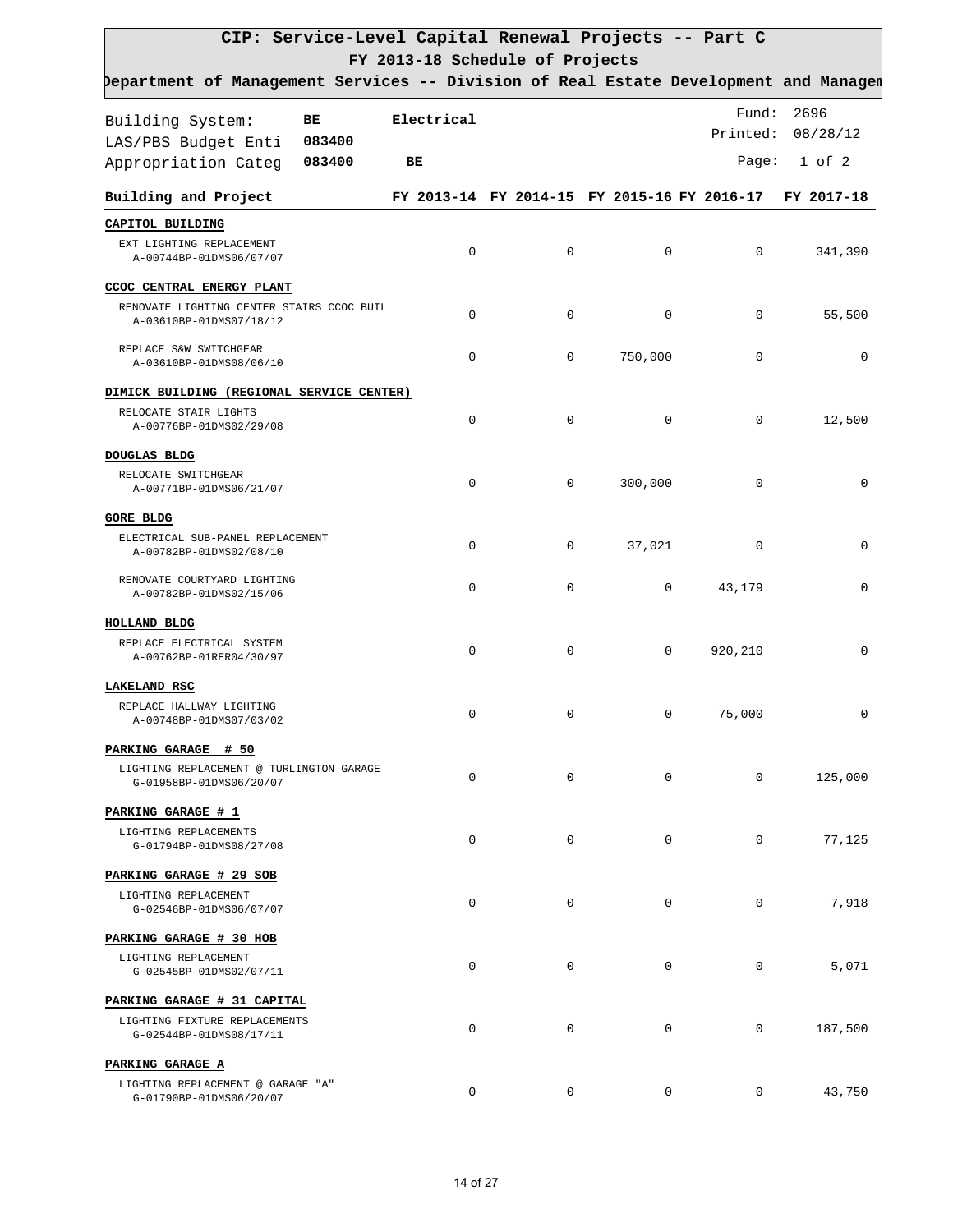| Department of Management Services -- Division of Real Estate Development and Managem |           |              |             |             |                                             |                   |
|--------------------------------------------------------------------------------------|-----------|--------------|-------------|-------------|---------------------------------------------|-------------------|
| Building System:                                                                     | <b>BE</b> | Electrical   |             |             | Fund:                                       | 2696              |
| LAS/PBS Budget Enti                                                                  | 083400    |              |             |             |                                             | Printed: 08/28/12 |
| Appropriation Categ                                                                  | 083400    | BE           |             |             |                                             | Page: $1$ of 2    |
| Building and Project                                                                 |           |              |             |             | FY 2013-14 FY 2014-15 FY 2015-16 FY 2016-17 | FY 2017-18        |
| CAPITOL BUILDING                                                                     |           |              |             |             |                                             |                   |
| EXT LIGHTING REPLACEMENT<br>A-00744BP-01DMS06/07/07                                  |           | $\mathbf 0$  | $\mathbf 0$ | 0           | 0                                           | 341,390           |
| CCOC CENTRAL ENERGY PLANT                                                            |           |              |             |             |                                             |                   |
| RENOVATE LIGHTING CENTER STAIRS CCOC BUIL<br>A-03610BP-01DMS07/18/12                 |           | $\mathbf 0$  | $\mathbf 0$ | $\mathbf 0$ | 0                                           | 55,500            |
| REPLACE S&W SWITCHGEAR<br>A-03610BP-01DMS08/06/10                                    |           | $\mathbf 0$  | 0           | 750,000     | $\mathbf 0$                                 | $\mathbf 0$       |
| DIMICK BUILDING (REGIONAL SERVICE CENTER)                                            |           |              |             |             |                                             |                   |
| RELOCATE STAIR LIGHTS<br>A-00776BP-01DMS02/29/08                                     |           | $\mathbf 0$  | $\mathbf 0$ | 0           | 0                                           | 12,500            |
| DOUGLAS BLDG                                                                         |           |              |             |             |                                             |                   |
| RELOCATE SWITCHGEAR<br>A-00771BP-01DMS06/21/07                                       |           | $\mathbf 0$  | $\mathbf 0$ | 300,000     | $\mathbf 0$                                 | 0                 |
| <b>GORE BLDG</b>                                                                     |           |              |             |             |                                             |                   |
| ELECTRICAL SUB-PANEL REPLACEMENT<br>A-00782BP-01DMS02/08/10                          |           | $\mathbf 0$  | 0           | 37,021      | $\mathbf 0$                                 | $\mathbf 0$       |
| RENOVATE COURTYARD LIGHTING<br>A-00782BP-01DMS02/15/06                               |           | $\mathbf 0$  | $\mathbf 0$ | $\mathbf 0$ | 43,179                                      | 0                 |
| HOLLAND BLDG                                                                         |           |              |             |             |                                             |                   |
| REPLACE ELECTRICAL SYSTEM                                                            |           | $\mathbf 0$  | $\mathbf 0$ | $\mathbf 0$ | 920,210                                     | $\mathbf 0$       |
| A-00762BP-01RER04/30/97                                                              |           |              |             |             |                                             |                   |
| LAKELAND RSC                                                                         |           |              |             |             |                                             |                   |
| REPLACE HALLWAY LIGHTING<br>A-00748BP-01DMS07/03/02                                  |           | $\mathbf 0$  | $\mathbf 0$ | 0           | 75,000                                      | $\mathbf 0$       |
| PARKING GARAGE # 50                                                                  |           |              |             |             |                                             |                   |
| LIGHTING REPLACEMENT @ TURLINGTON GARAGE<br>G-01958BP-01DMS06/20/07                  |           | 0            | 0           | 0           | 0                                           | 125,000           |
| PARKING GARAGE # 1                                                                   |           |              |             |             |                                             |                   |
| LIGHTING REPLACEMENTS<br>G-01794BP-01DMS08/27/08                                     |           | $\mathbf 0$  | $\mathbf 0$ | 0           | 0                                           | 77,125            |
| PARKING GARAGE # 29 SOB                                                              |           |              |             |             |                                             |                   |
| LIGHTING REPLACEMENT<br>G-02546BP-01DMS06/07/07                                      |           | $\mathbf 0$  | 0           | 0           | 0                                           | 7,918             |
| PARKING GARAGE # 30 HOB                                                              |           |              |             |             |                                             |                   |
| LIGHTING REPLACEMENT<br>G-02545BP-01DMS02/07/11                                      |           | $\mathbf{0}$ | $\mathbf 0$ | 0           | 0                                           | 5,071             |
| PARKING GARAGE # 31 CAPITAL                                                          |           |              |             |             |                                             |                   |
| LIGHTING FIXTURE REPLACEMENTS<br>G-02544BP-01DMS08/17/11                             |           | $\mathbf 0$  | $\mathbf 0$ | 0           | 0                                           | 187,500           |
| PARKING GARAGE A                                                                     |           |              |             |             |                                             |                   |
| LIGHTING REPLACEMENT @ GARAGE "A"<br>G-01790BP-01DMS06/20/07                         |           | $\mathbf 0$  | 0           | 0           | 0                                           | 43,750            |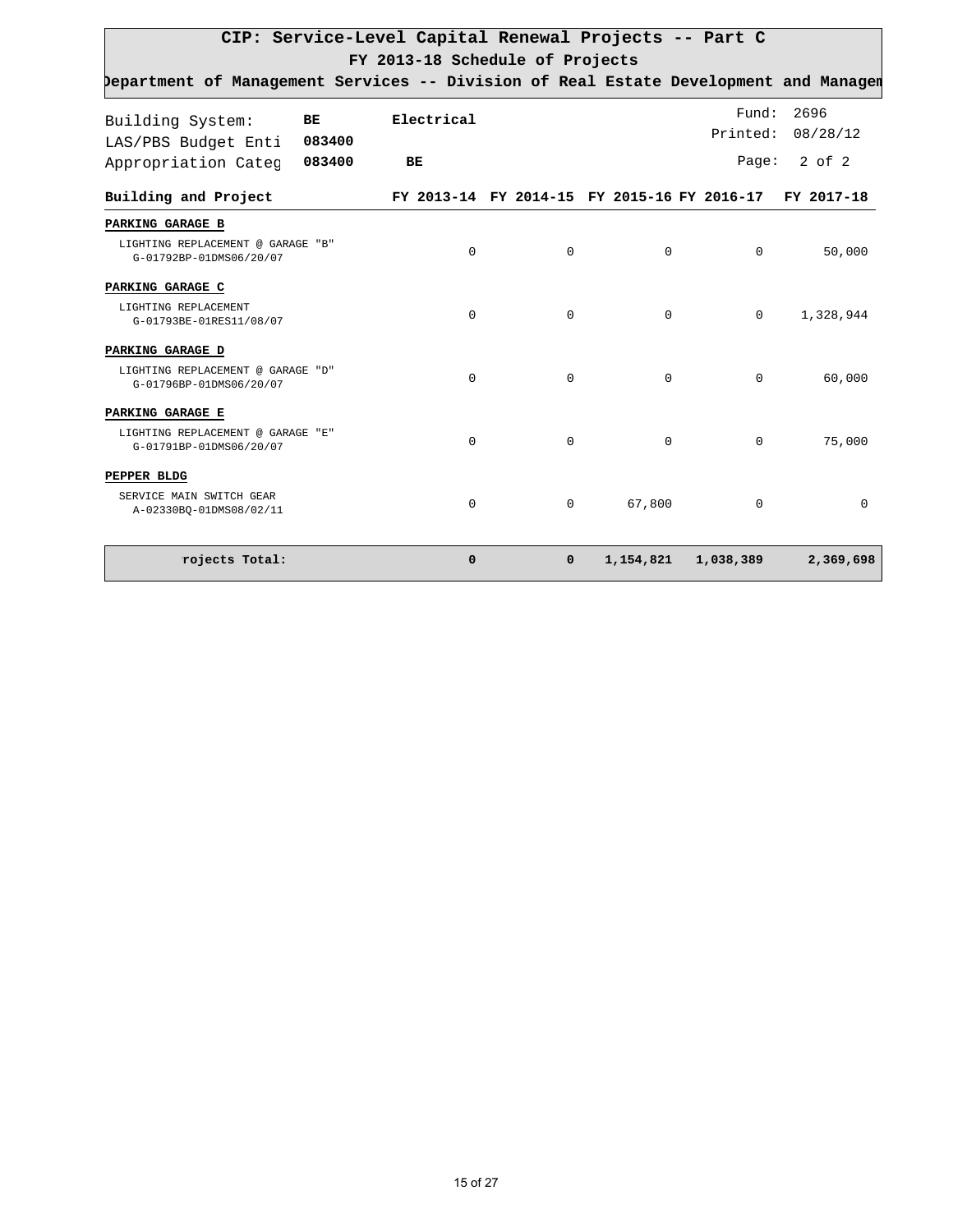| CIP: Service-Level Capital Renewal Projects -- Part C                                |                                 |              |                                                        |                |                   |
|--------------------------------------------------------------------------------------|---------------------------------|--------------|--------------------------------------------------------|----------------|-------------------|
|                                                                                      | FY 2013-18 Schedule of Projects |              |                                                        |                |                   |
| bepartment of Management Services -- Division of Real Estate Development and Managem |                                 |              |                                                        |                |                   |
| Building System:<br>BE                                                               | Electrical                      |              |                                                        | Fund:          | 2696              |
| 083400<br>LAS/PBS Budget Enti                                                        |                                 |              |                                                        |                | Printed: 08/28/12 |
| Appropriation Categ<br>083400                                                        | <b>BE</b>                       |              |                                                        | Page:          | $2$ of $2$        |
| Building and Project                                                                 |                                 |              | FY 2013-14 FY 2014-15 FY 2015-16 FY 2016-17 FY 2017-18 |                |                   |
| PARKING GARAGE B                                                                     |                                 |              |                                                        |                |                   |
| LIGHTING REPLACEMENT @ GARAGE "B"<br>G-01792BP-01DMS06/20/07                         | $\mathbf 0$                     | $\Omega$     | $\Omega$                                               | 0              | 50,000            |
| PARKING GARAGE C                                                                     |                                 |              |                                                        |                |                   |
| LIGHTING REPLACEMENT<br>G-01793BE-01RES11/08/07                                      | $\Omega$                        | $\Omega$     | $\Omega$                                               | $\overline{0}$ | 1,328,944         |
| PARKING GARAGE D                                                                     |                                 |              |                                                        |                |                   |
| LIGHTING REPLACEMENT @ GARAGE "D"<br>G-01796BP-01DMS06/20/07                         | $\Omega$                        | $\Omega$     | $\mathbf 0$                                            | $\mathbf 0$    | 60,000            |
| PARKING GARAGE E                                                                     |                                 |              |                                                        |                |                   |
| LIGHTING REPLACEMENT @ GARAGE "E"<br>G-01791BP-01DMS06/20/07                         | $\Omega$                        | $\Omega$     | $\Omega$                                               | $\mathbf 0$    | 75,000            |
| PEPPER BLDG                                                                          |                                 |              |                                                        |                |                   |
| SERVICE MAIN SWITCH GEAR<br>A-02330BO-01DMS08/02/11                                  | $\Omega$                        | $\Omega$     | 67,800                                                 | $\Omega$       | $\Omega$          |
| rojects Total:                                                                       | $\mathbf 0$                     | $\mathbf{0}$ | 1,154,821                                              | 1,038,389      | 2,369,698         |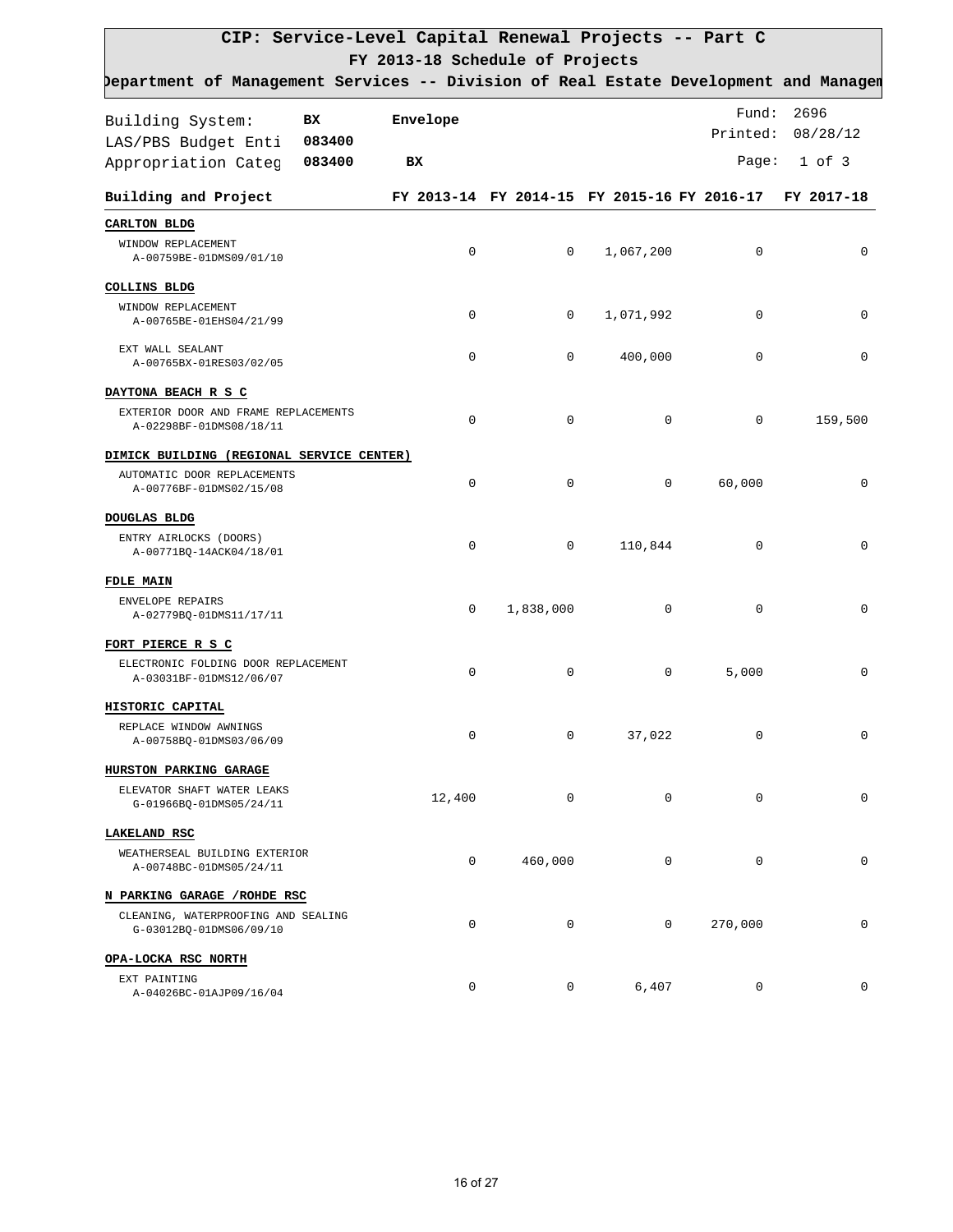| Department of Management Services -- Division of Real Estate Development and Managem |           |             |             |             |                                                        |                   |
|--------------------------------------------------------------------------------------|-----------|-------------|-------------|-------------|--------------------------------------------------------|-------------------|
| Building System:                                                                     | <b>BX</b> | Envelope    |             |             | Fund:                                                  | 2696              |
| LAS/PBS Budget Enti                                                                  | 083400    |             |             |             |                                                        | Printed: 08/28/12 |
| Appropriation Categ                                                                  | 083400    | BX          |             |             |                                                        | Page: $1$ of 3    |
| Building and Project                                                                 |           |             |             |             | FY 2013-14 FY 2014-15 FY 2015-16 FY 2016-17 FY 2017-18 |                   |
| CARLTON BLDG                                                                         |           |             |             |             |                                                        |                   |
| WINDOW REPLACEMENT<br>A-00759BE-01DMS09/01/10                                        |           | 0           | 0           | 1,067,200   | 0                                                      | $\mathbf 0$       |
| COLLINS BLDG                                                                         |           |             |             |             |                                                        |                   |
| WINDOW REPLACEMENT<br>A-00765BE-01EHS04/21/99                                        |           | $\mathbf 0$ | 0           | 1,071,992   | 0                                                      | 0                 |
| EXT WALL SEALANT<br>A-00765BX-01RES03/02/05                                          |           | $\mathbf 0$ | 0           | 400,000     | $\mathbf 0$                                            | $\mathbf 0$       |
| DAYTONA BEACH R S C                                                                  |           |             |             |             |                                                        |                   |
| EXTERIOR DOOR AND FRAME REPLACEMENTS<br>A-02298BF-01DMS08/18/11                      |           | $\mathbf 0$ | $\mathbf 0$ | $\mathbf 0$ | 0                                                      | 159,500           |
| DIMICK BUILDING (REGIONAL SERVICE CENTER)                                            |           |             |             |             |                                                        |                   |
| AUTOMATIC DOOR REPLACEMENTS<br>A-00776BF-01DMS02/15/08                               |           | $\mathbf 0$ | $\mathbf 0$ | $\mathbf 0$ | 60,000                                                 | $\mathbf 0$       |
| DOUGLAS BLDG                                                                         |           |             |             |             |                                                        |                   |
| ENTRY AIRLOCKS (DOORS)<br>A-00771BQ-14ACK04/18/01                                    |           | $\mathbf 0$ | 0           | 110,844     | $\mathbf 0$                                            | $\Omega$          |
| <b>FDLE MAIN</b>                                                                     |           |             |             |             |                                                        |                   |
| ENVELOPE REPAIRS<br>A-02779BQ-01DMS11/17/11                                          |           | 0           | 1,838,000   | 0           | 0                                                      | 0                 |
| FORT PIERCE R S C                                                                    |           |             |             |             |                                                        |                   |
| ELECTRONIC FOLDING DOOR REPLACEMENT<br>A-03031BF-01DMS12/06/07                       |           | $\mathbf 0$ | $\mathbf 0$ | $\mathbf 0$ | 5,000                                                  | $\mathbf 0$       |
| HISTORIC CAPITAL                                                                     |           |             |             |             |                                                        |                   |
| REPLACE WINDOW AWNINGS<br>A-00758BQ-01DMS03/06/09                                    |           | 0           | 0           | 37,022      | 0                                                      | $\mathbf 0$       |
| HURSTON PARKING GARAGE                                                               |           |             |             |             |                                                        |                   |
| ELEVATOR SHAFT WATER LEAKS<br>G-01966BQ-01DMS05/24/11                                |           | 12,400      | 0           | 0           | $\mathbf 0$                                            | $\mathbf 0$       |
| LAKELAND RSC                                                                         |           |             |             |             |                                                        |                   |
| WEATHERSEAL BUILDING EXTERIOR<br>A-00748BC-01DMS05/24/11                             |           | 0           | 460,000     | 0           | $\mathbf 0$                                            | 0                 |
| N PARKING GARAGE / ROHDE RSC                                                         |           |             |             |             |                                                        |                   |
| CLEANING, WATERPROOFING AND SEALING<br>G-03012BQ-01DMS06/09/10                       |           | 0           | 0           | 0           | 270,000                                                | 0                 |
| OPA-LOCKA RSC NORTH                                                                  |           |             |             |             |                                                        |                   |
| EXT PAINTING<br>A-04026BC-01AJP09/16/04                                              |           | 0           | 0           | 6,407       | 0                                                      | 0                 |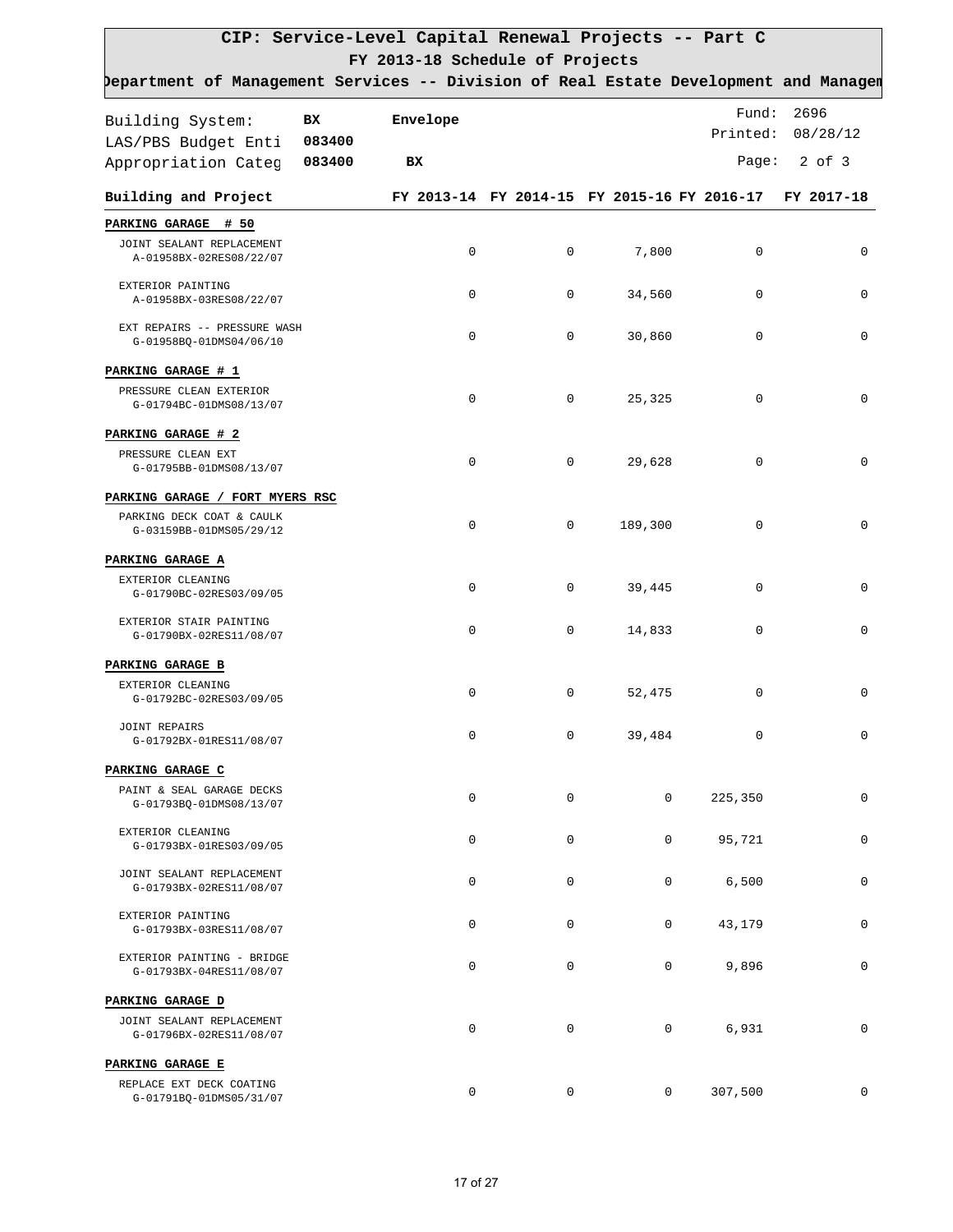| Department of Management Services -- Division of Real Estate Development and Managem |        |             |             |             |                                                        |                   |
|--------------------------------------------------------------------------------------|--------|-------------|-------------|-------------|--------------------------------------------------------|-------------------|
| Building System:                                                                     | вx     | Envelope    |             |             | Fund:                                                  | 2696              |
| LAS/PBS Budget Enti                                                                  | 083400 |             |             |             |                                                        | Printed: 08/28/12 |
| Appropriation Categ                                                                  | 083400 | вx          |             |             | Page:                                                  | $2$ of $3$        |
| Building and Project                                                                 |        |             |             |             | FY 2013-14 FY 2014-15 FY 2015-16 FY 2016-17 FY 2017-18 |                   |
| PARKING GARAGE # 50                                                                  |        |             |             |             |                                                        |                   |
| JOINT SEALANT REPLACEMENT<br>A-01958BX-02RES08/22/07                                 |        | $\mathbf 0$ | $\mathbf 0$ | 7,800       | $\mathbf 0$                                            | 0                 |
| EXTERIOR PAINTING<br>A-01958BX-03RES08/22/07                                         |        | 0           | $\mathbf 0$ | 34,560      | 0                                                      | 0                 |
| EXT REPAIRS -- PRESSURE WASH<br>G-01958BQ-01DMS04/06/10                              |        | $\mathbf 0$ | 0           | 30,860      | 0                                                      | 0                 |
| PARKING GARAGE # 1                                                                   |        |             |             |             |                                                        |                   |
| PRESSURE CLEAN EXTERIOR<br>G-01794BC-01DMS08/13/07                                   |        | $\mathbf 0$ | $\mathbf 0$ | 25,325      | 0                                                      | 0                 |
| PARKING GARAGE # 2                                                                   |        |             |             |             |                                                        |                   |
| PRESSURE CLEAN EXT<br>G-01795BB-01DMS08/13/07                                        |        | $\mathbf 0$ | $\mathbf 0$ | 29,628      | 0                                                      | $\mathbf 0$       |
| PARKING GARAGE / FORT MYERS RSC                                                      |        |             |             |             |                                                        |                   |
| PARKING DECK COAT & CAULK<br>G-03159BB-01DMS05/29/12                                 |        | 0           | 0           | 189,300     | 0                                                      | $\Omega$          |
| PARKING GARAGE A                                                                     |        |             |             |             |                                                        |                   |
| EXTERIOR CLEANING<br>G-01790BC-02RES03/09/05                                         |        | 0           | $\mathbf 0$ | 39,445      | 0                                                      | 0                 |
| EXTERIOR STAIR PAINTING<br>G-01790BX-02RES11/08/07                                   |        | 0           | 0           | 14,833      | 0                                                      | 0                 |
| PARKING GARAGE B                                                                     |        |             |             |             |                                                        |                   |
| EXTERIOR CLEANING<br>G-01792BC-02RES03/09/05                                         |        | 0           | 0           | 52,475      | 0                                                      | 0                 |
| <b>JOINT REPAIRS</b><br>G-01792BX-01RES11/08/07                                      |        | 0           | $\mathbf 0$ | 39,484      | 0                                                      | 0                 |
| PARKING GARAGE C                                                                     |        |             |             |             |                                                        |                   |
| PAINT & SEAL GARAGE DECKS<br>G-01793BQ-01DMS08/13/07                                 |        | 0           | $\mathbf 0$ | $\mathbf 0$ | 225,350                                                | 0                 |
| EXTERIOR CLEANING<br>G-01793BX-01RES03/09/05                                         |        | $\mathbf 0$ | $\Omega$    | 0           | 95,721                                                 | 0                 |
| JOINT SEALANT REPLACEMENT<br>G-01793BX-02RES11/08/07                                 |        | $\mathbf 0$ | 0           | 0           | 6,500                                                  | 0                 |
| EXTERIOR PAINTING<br>G-01793BX-03RES11/08/07                                         |        | $\mathbf 0$ | 0           | 0           | 43,179                                                 | 0                 |
| EXTERIOR PAINTING - BRIDGE<br>G-01793BX-04RES11/08/07                                |        | $\mathbf 0$ | 0           | 0           | 9,896                                                  | 0                 |
| PARKING GARAGE D                                                                     |        |             |             |             |                                                        |                   |
| JOINT SEALANT REPLACEMENT<br>G-01796BX-02RES11/08/07                                 |        | $\mathbf 0$ | 0           | 0           | 6,931                                                  | 0                 |
| PARKING GARAGE E                                                                     |        |             |             |             |                                                        |                   |
| REPLACE EXT DECK COATING<br>G-01791BQ-01DMS05/31/07                                  |        | 0           | 0           | 0           | 307,500                                                | 0                 |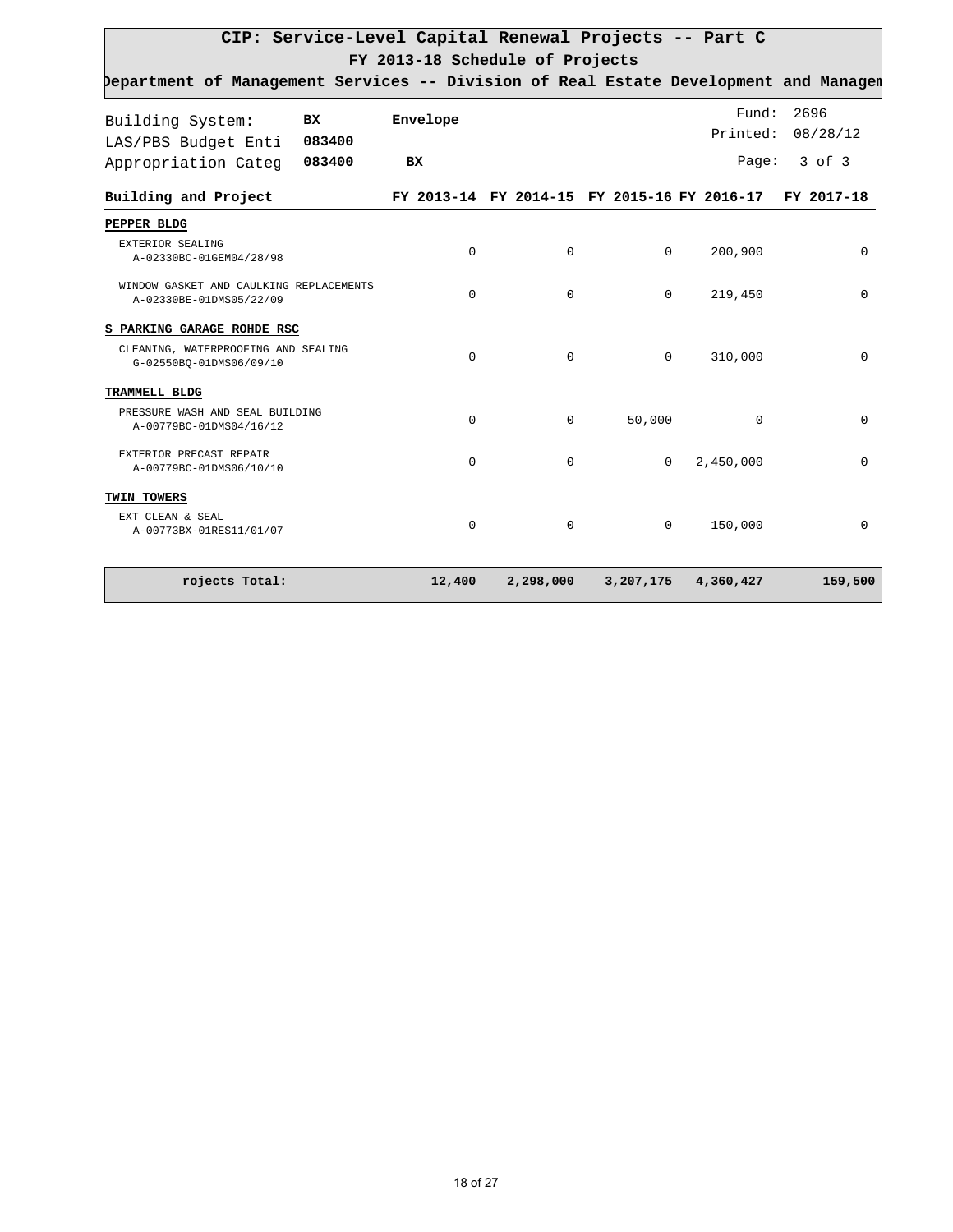| Department of Management Services -- Division of Real Estate Development and Managem |        |          |             |           |             |             |                                                        |            |
|--------------------------------------------------------------------------------------|--------|----------|-------------|-----------|-------------|-------------|--------------------------------------------------------|------------|
| Building System:                                                                     | BX     | Envelope |             |           |             |             | Fund:                                                  | 2696       |
| LAS/PBS Budget Enti                                                                  | 083400 |          |             |           |             |             | Printed:                                               | 08/28/12   |
| Appropriation Categ                                                                  | 083400 | BX       |             |           |             |             | Page:                                                  | $3$ of $3$ |
| Building and Project                                                                 |        |          |             |           |             |             | FY 2013-14 FY 2014-15 FY 2015-16 FY 2016-17 FY 2017-18 |            |
| PEPPER BLDG                                                                          |        |          |             |           |             |             |                                                        |            |
| EXTERIOR SEALING<br>A-02330BC-01GEM04/28/98                                          |        |          | $\Omega$    |           | $\Omega$    | $\Omega$    | 200,900                                                | $\Omega$   |
| WINDOW GASKET AND CAULKING REPLACEMENTS<br>A-02330BE-01DMS05/22/09                   |        |          | $\Omega$    |           | $\Omega$    | $\Omega$    | 219,450                                                | $\Omega$   |
| S PARKING GARAGE ROHDE RSC                                                           |        |          |             |           |             |             |                                                        |            |
| CLEANING, WATERPROOFING AND SEALING<br>G-02550BQ-01DMS06/09/10                       |        |          | $\mathbf 0$ |           | $\mathbf 0$ | $\mathbf 0$ | 310,000                                                | $\Omega$   |
| TRAMMELL BLDG                                                                        |        |          |             |           |             |             |                                                        |            |
| PRESSURE WASH AND SEAL BUILDING<br>A-00779BC-01DMS04/16/12                           |        |          | $\mathbf 0$ |           | $\Omega$    | 50,000      | $\Omega$                                               | $\Omega$   |
| EXTERIOR PRECAST REPAIR<br>A-00779BC-01DMS06/10/10                                   |        |          | $\mathbf 0$ |           | $\Omega$    | $\Omega$    | 2,450,000                                              | $\Omega$   |
| TWIN TOWERS                                                                          |        |          |             |           |             |             |                                                        |            |
| EXT CLEAN & SEAL<br>A-00773BX-01RES11/01/07                                          |        |          | $\mathbf 0$ |           | 0           | 0           | 150,000                                                | $\Omega$   |
| rojects Total:                                                                       |        | 12,400   |             | 2,298,000 |             | 3,207,175   | 4,360,427                                              | 159,500    |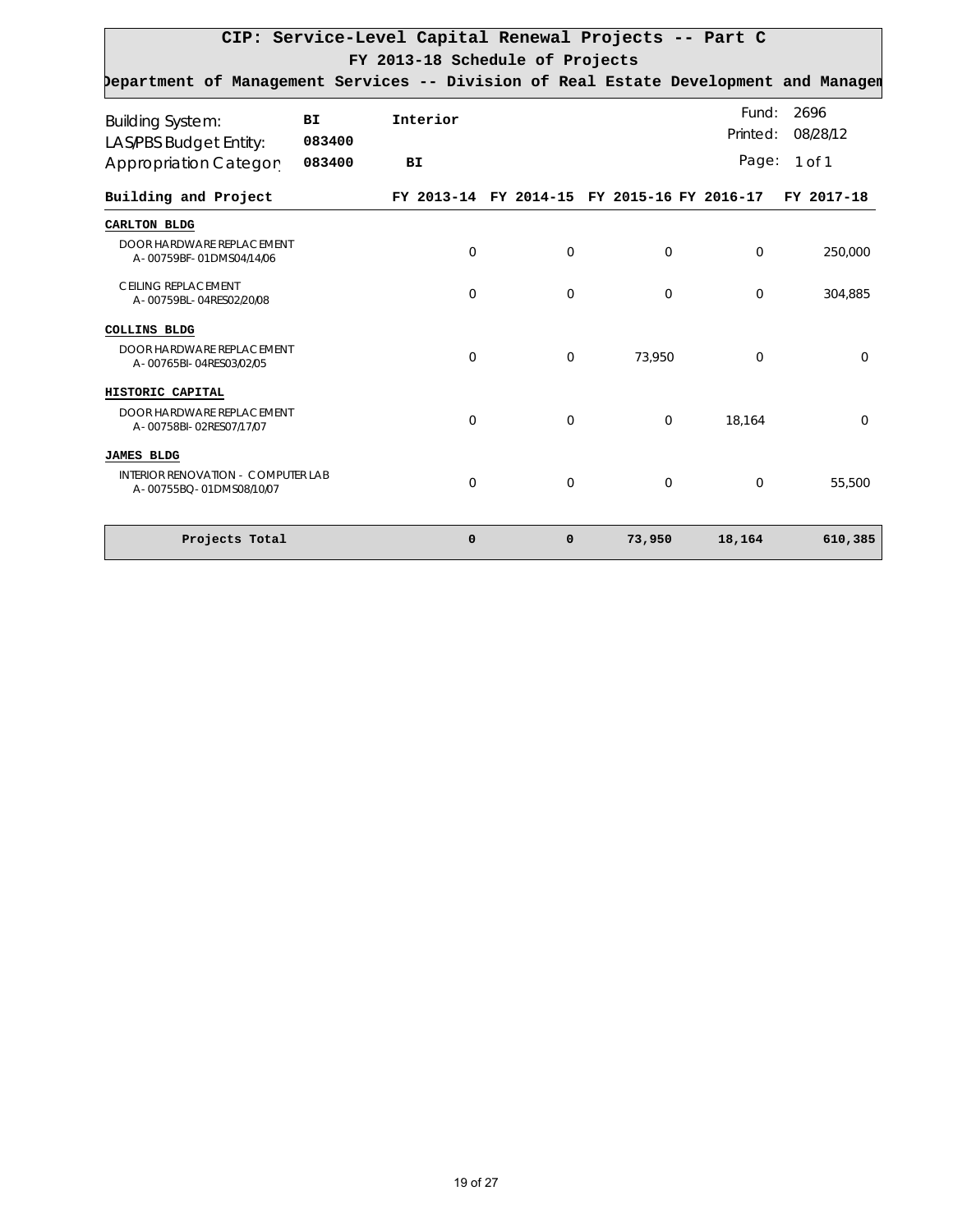|                                                                                           |                     | FY 2013-18 Schedule of Projects |              | CIP: Service-Level Capital Renewal Projects -- Part C |                   |                  |
|-------------------------------------------------------------------------------------------|---------------------|---------------------------------|--------------|-------------------------------------------------------|-------------------|------------------|
| Department of Management Services -- Division of Real Estate Development and Managem      |                     |                                 |              |                                                       |                   |                  |
| <b>Building System:</b><br><b>LAS/PBS Budget Entity:</b>                                  | <b>BI</b><br>083400 | Interior                        |              |                                                       | Fund:<br>Printed: | 2696<br>08/28/12 |
| Appropriation Category                                                                    | 083400              | BI                              |              |                                                       | Page:             | 1 of 1           |
| Building and Project                                                                      |                     |                                 |              | FY 2013-14 FY 2014-15 FY 2015-16 FY 2016-17           |                   | FY 2017-18       |
| <b>CARLTON BLDG</b><br>DOOR HARDWARE REPLACEMENT<br>A-00759BF-01DMS04/14/06               |                     | $\mathbf 0$                     | $\mathbf{0}$ | $\Omega$                                              | $\overline{0}$    | 250,000          |
| <b>CEILING REPLACEMENT</b><br>A-00759BL-04RES02/20/08                                     |                     | $\Omega$                        | 0            | $\Omega$                                              | $\Omega$          | 304.885          |
| COLLINS BLDG<br>DOOR HARDWARE REPLACEMENT<br>A-00765BI-04RES03/02/05                      |                     | $\mathbf 0$                     | $\Omega$     | 73,950                                                | $\Omega$          | $\Omega$         |
| HISTORIC CAPITAL<br>DOOR HARDWARE REPLACEMENT<br>A-00758BI-02RES07/17/07                  |                     | $\Omega$                        | $\Omega$     | $\Omega$                                              | 18,164            | $\Omega$         |
| <b>JAMES BLDG</b><br><b>INTERIOR RENOVATION - COMPUTER LAB</b><br>A-00755BQ-01DMS08/10/07 |                     | $\Omega$                        | $\mathbf 0$  | $\Omega$                                              | $\mathbf{0}$      | 55,500           |
| Projects Total                                                                            |                     | $\mathbf 0$                     | $\mathbf 0$  | 73,950                                                | 18,164            | 610,385          |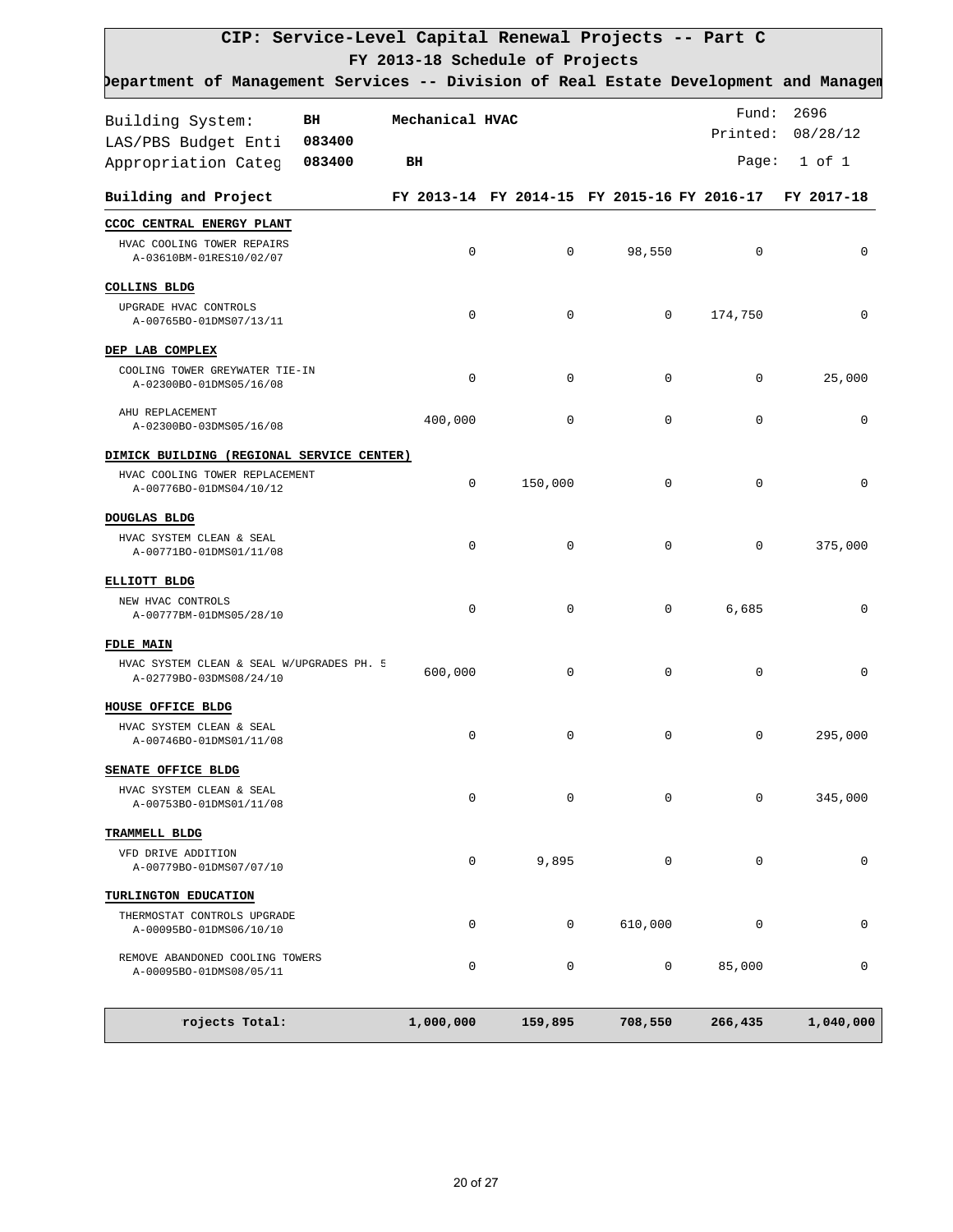| CIP: Service-Level Capital Renewal Projects -- Part C<br>FY 2013-18 Schedule of Projects |                 |             |         |                                                        |                   |  |  |  |
|------------------------------------------------------------------------------------------|-----------------|-------------|---------|--------------------------------------------------------|-------------------|--|--|--|
| Department of Management Services -- Division of Real Estate Development and Managem     |                 |             |         |                                                        |                   |  |  |  |
|                                                                                          |                 |             |         |                                                        |                   |  |  |  |
| Building System:<br>BН                                                                   | Mechanical HVAC |             |         | Fund:                                                  | 2696              |  |  |  |
| LAS/PBS Budget Enti<br>083400                                                            |                 |             |         |                                                        | Printed: 08/28/12 |  |  |  |
| Appropriation Categ<br>083400                                                            | BH              |             |         | Page:                                                  | $1$ of $1$        |  |  |  |
| Building and Project                                                                     |                 |             |         | FY 2013-14 FY 2014-15 FY 2015-16 FY 2016-17 FY 2017-18 |                   |  |  |  |
| CCOC CENTRAL ENERGY PLANT                                                                |                 |             |         |                                                        |                   |  |  |  |
| HVAC COOLING TOWER REPAIRS<br>A-03610BM-01RES10/02/07                                    | $\mathbf 0$     | 0           | 98,550  | 0                                                      | 0                 |  |  |  |
| COLLINS BLDG                                                                             |                 |             |         |                                                        |                   |  |  |  |
| UPGRADE HVAC CONTROLS<br>A-00765BO-01DMS07/13/11                                         | 0               | 0           | 0       | 174,750                                                | $\mathbf 0$       |  |  |  |
| DEP LAB COMPLEX                                                                          |                 |             |         |                                                        |                   |  |  |  |
| COOLING TOWER GREYWATER TIE-IN<br>A-02300BO-01DMS05/16/08                                | 0               | 0           | 0       | $\mathbf 0$                                            | 25,000            |  |  |  |
| AHU REPLACEMENT<br>A-02300BO-03DMS05/16/08                                               | 400,000         | 0           | 0       | 0                                                      | 0                 |  |  |  |
| DIMICK BUILDING (REGIONAL SERVICE CENTER)                                                |                 |             |         |                                                        |                   |  |  |  |
| HVAC COOLING TOWER REPLACEMENT                                                           | 0               | 150,000     | 0       | 0                                                      | $\mathbf 0$       |  |  |  |
| A-00776BO-01DMS04/10/12                                                                  |                 |             |         |                                                        |                   |  |  |  |
| DOUGLAS BLDG                                                                             |                 |             |         |                                                        |                   |  |  |  |
| HVAC SYSTEM CLEAN & SEAL<br>A-00771BO-01DMS01/11/08                                      | 0               | 0           | 0       | 0                                                      | 375,000           |  |  |  |
| ELLIOTT BLDG                                                                             |                 |             |         |                                                        |                   |  |  |  |
| NEW HVAC CONTROLS<br>A-00777BM-01DMS05/28/10                                             | 0               | 0           | 0       | 6,685                                                  | $\mathbf 0$       |  |  |  |
| <b>FDLE MAIN</b>                                                                         |                 |             |         |                                                        |                   |  |  |  |
| HVAC SYSTEM CLEAN & SEAL W/UPGRADES PH. 5<br>A-02779BO-03DMS08/24/10                     | 600,000         | 0           | 0       | 0                                                      | $\mathbf 0$       |  |  |  |
| HOUSE OFFICE BLDG                                                                        |                 |             |         |                                                        |                   |  |  |  |
| HVAC SYSTEM CLEAN & SEAL<br>A-00746BO-01DMS01/11/08                                      | 0               | 0           | 0       | 0                                                      | 295,000           |  |  |  |
| SENATE OFFICE BLDG                                                                       |                 |             |         |                                                        |                   |  |  |  |
| HVAC SYSTEM CLEAN & SEAL<br>A-00753BO-01DMS01/11/08                                      | $\mathbf 0$     | $\mathbf 0$ | 0       | $\mathbf 0$                                            | 345,000           |  |  |  |
| TRAMMELL BLDG                                                                            |                 |             |         |                                                        |                   |  |  |  |
| VFD DRIVE ADDITION<br>A-00779BO-01DMS07/07/10                                            | 0               | 9,895       | 0       | 0                                                      | 0                 |  |  |  |
| TURLINGTON EDUCATION                                                                     |                 |             |         |                                                        |                   |  |  |  |
| THERMOSTAT CONTROLS UPGRADE                                                              |                 |             |         |                                                        |                   |  |  |  |
| A-00095BO-01DMS06/10/10                                                                  | 0               | 0           | 610,000 | 0                                                      | 0                 |  |  |  |
| REMOVE ABANDONED COOLING TOWERS<br>A-00095BO-01DMS08/05/11                               | $\mathbf 0$     | $\mathbf 0$ | 0       | 85,000                                                 | $\mathbf 0$       |  |  |  |
| rojects Total:                                                                           | 1,000,000       | 159,895     | 708,550 | 266,435                                                | 1,040,000         |  |  |  |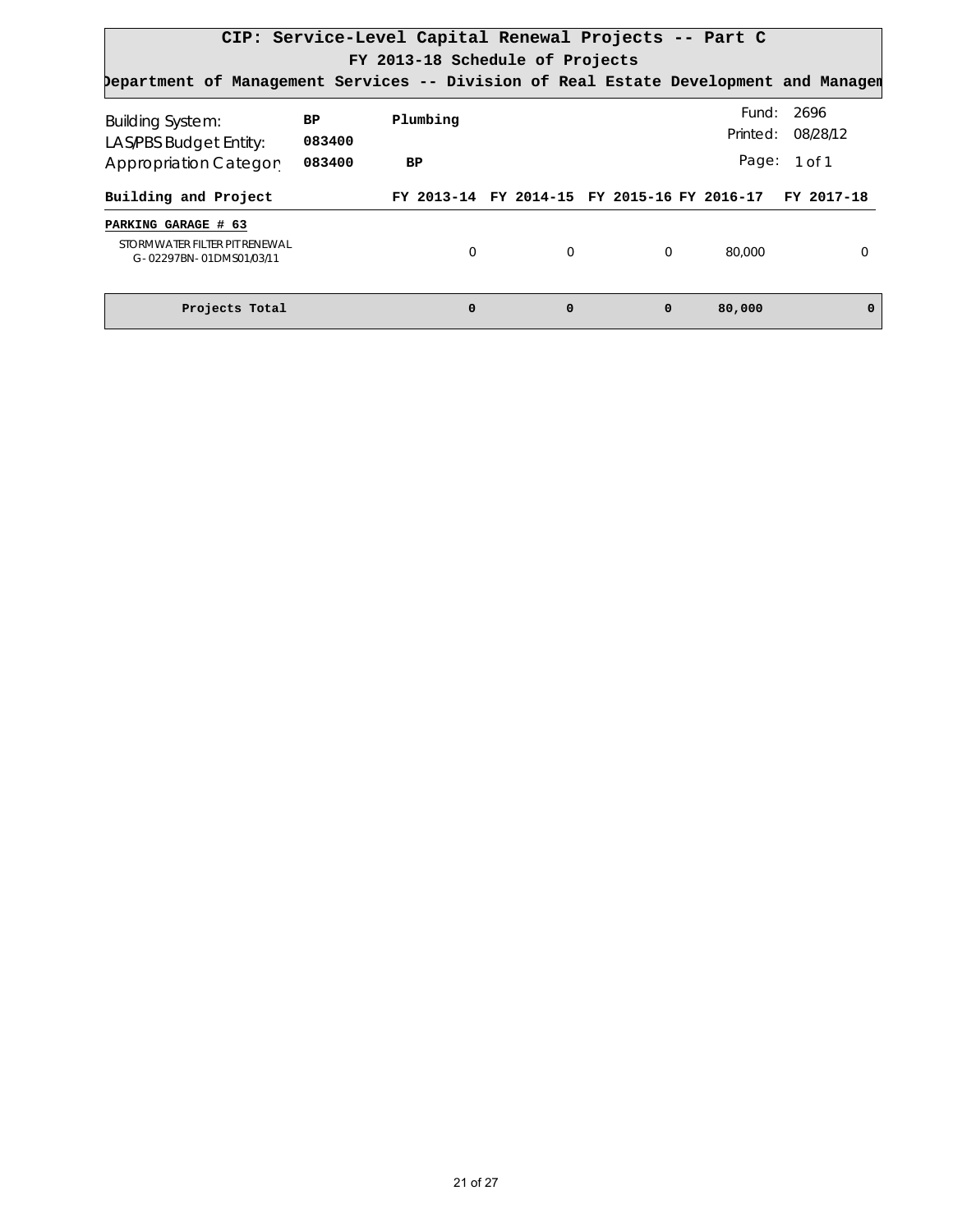|                                                                                      |               |             | CIP: Service-Level Capital Renewal Projects -- Part C |             |          |                        |
|--------------------------------------------------------------------------------------|---------------|-------------|-------------------------------------------------------|-------------|----------|------------------------|
| Department of Management Services -- Division of Real Estate Development and Managem |               |             | FY 2013-18 Schedule of Projects                       |             |          |                        |
| <b>Building System:</b><br>LAS/PBS Budget Entity:                                    | BP.<br>083400 | Plumbing    |                                                       |             | Printed: | Fund: 2696<br>08/28/12 |
| Appropriation Category                                                               | 083400        | <b>BP</b>   |                                                       |             | Page:    | 1 of 1                 |
| Building and Project                                                                 |               |             | FY 2013-14 FY 2014-15 FY 2015-16 FY 2016-17           |             |          | FY 2017-18             |
| PARKING GARAGE # 63<br>STORMWATER FILTER PIT RENEWAL<br>G-02297BN-01DMS01/03/11      |               | $\Omega$    | $\Omega$                                              | $\Omega$    | 80,000   | $\Omega$               |
| Projects Total                                                                       |               | $\mathbf 0$ | $\mathbf{0}$                                          | $\mathbf 0$ | 80,000   | $\mathbf{0}$           |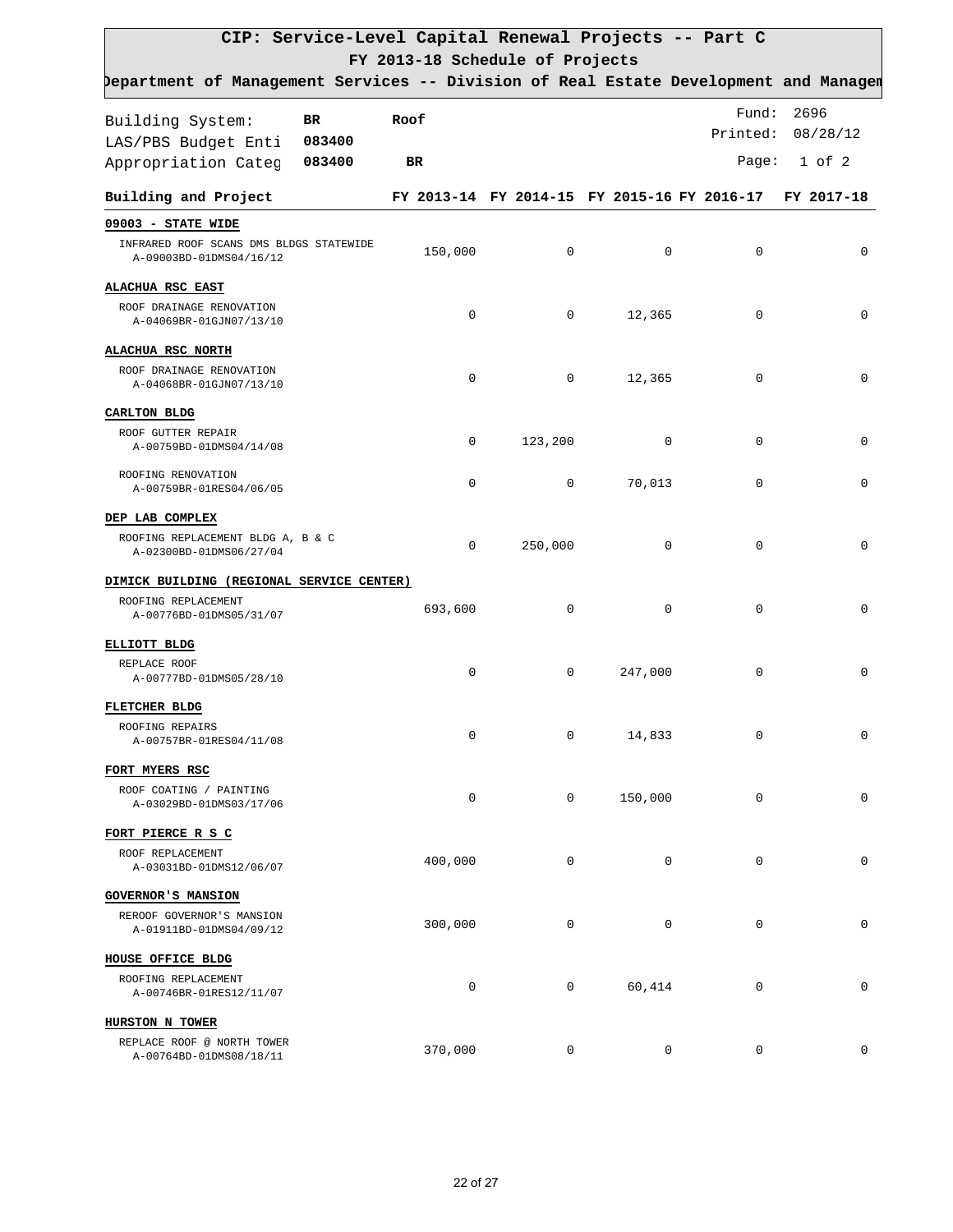| )epartment of Management Services -- Division of Real Estate Development and Managem |           |                     |             |             |                                                        |                   |
|--------------------------------------------------------------------------------------|-----------|---------------------|-------------|-------------|--------------------------------------------------------|-------------------|
| Building System:                                                                     | <b>BR</b> | Roof                |             |             | Fund:                                                  | 2696              |
| LAS/PBS Budget Enti                                                                  | 083400    |                     |             |             |                                                        | Printed: 08/28/12 |
| Appropriation Categ                                                                  | 083400    | BR                  |             |             | Page:                                                  | $1$ of $2$        |
| Building and Project                                                                 |           |                     |             |             | FY 2013-14 FY 2014-15 FY 2015-16 FY 2016-17 FY 2017-18 |                   |
| 09003 - STATE WIDE                                                                   |           |                     |             |             |                                                        |                   |
| INFRARED ROOF SCANS DMS BLDGS STATEWIDE<br>A-09003BD-01DMS04/16/12                   |           | 150,000             | $\mathbf 0$ | $\mathbf 0$ | $\mathbf 0$                                            | 0                 |
| ALACHUA RSC EAST                                                                     |           |                     |             |             |                                                        |                   |
| ROOF DRAINAGE RENOVATION<br>A-04069BR-01GJN07/13/10                                  |           | $\mathbf 0$         | $\mathbf 0$ | 12,365      | 0                                                      | 0                 |
| ALACHUA RSC NORTH                                                                    |           |                     |             |             |                                                        |                   |
| ROOF DRAINAGE RENOVATION<br>A-04068BR-01GJN07/13/10                                  |           | $\mathbf 0$         | 0           | 12,365      | 0                                                      | $\mathbf 0$       |
| CARLTON BLDG                                                                         |           |                     |             |             |                                                        |                   |
| ROOF GUTTER REPAIR<br>A-00759BD-01DMS04/14/08                                        |           | $\mathbf 0$         | 123,200     | 0           | 0                                                      | 0                 |
| ROOFING RENOVATION<br>A-00759BR-01RES04/06/05                                        |           | $\mathbf 0$         | 0           | 70,013      | $\mathsf 0$                                            | 0                 |
| DEP LAB COMPLEX                                                                      |           |                     |             |             |                                                        |                   |
| ROOFING REPLACEMENT BLDG A, B & C<br>A-02300BD-01DMS06/27/04                         |           | $\mathbf 0$         | 250,000     | 0           | 0                                                      | $\Omega$          |
| DIMICK BUILDING (REGIONAL SERVICE CENTER)                                            |           |                     |             |             |                                                        |                   |
| ROOFING REPLACEMENT<br>A-00776BD-01DMS05/31/07                                       |           | 693,600             | 0           | 0           | 0                                                      | 0                 |
| ELLIOTT BLDG                                                                         |           |                     |             |             |                                                        |                   |
| REPLACE ROOF<br>A-00777BD-01DMS05/28/10                                              |           | $\mathbf 0$         | 0           | 247,000     | $\mathsf 0$                                            | 0                 |
| FLETCHER BLDG                                                                        |           |                     |             |             |                                                        |                   |
| ROOFING REPAIRS<br>A-00757BR-01RES04/11/08                                           |           | 0                   | 0           | 14,833      | 0                                                      | 0                 |
| FORT MYERS RSC                                                                       |           |                     |             |             |                                                        |                   |
| ROOF COATING / PAINTING<br>A-03029BD-01DMS03/17/06                                   |           | 0                   | 0           | 150,000     | 0                                                      | 0                 |
| FORT PIERCE R S C                                                                    |           |                     |             |             |                                                        |                   |
| ROOF REPLACEMENT<br>A-03031BD-01DMS12/06/07                                          |           | 400,000             | 0           | 0           | $\mathbf 0$                                            | 0                 |
| GOVERNOR'S MANSION                                                                   |           |                     |             |             |                                                        |                   |
| REROOF GOVERNOR'S MANSION<br>A-01911BD-01DMS04/09/12                                 |           | 300,000             | 0           | 0           | 0                                                      | 0                 |
| HOUSE OFFICE BLDG                                                                    |           |                     |             |             |                                                        |                   |
| ROOFING REPLACEMENT<br>A-00746BR-01RES12/11/07                                       |           | $\mathsf{O}\xspace$ | 0           | 60,414      | 0                                                      | 0                 |
| HURSTON N TOWER                                                                      |           |                     |             |             |                                                        |                   |
| REPLACE ROOF @ NORTH TOWER<br>A-00764BD-01DMS08/18/11                                |           | 370,000             | 0           | 0           | 0                                                      | 0                 |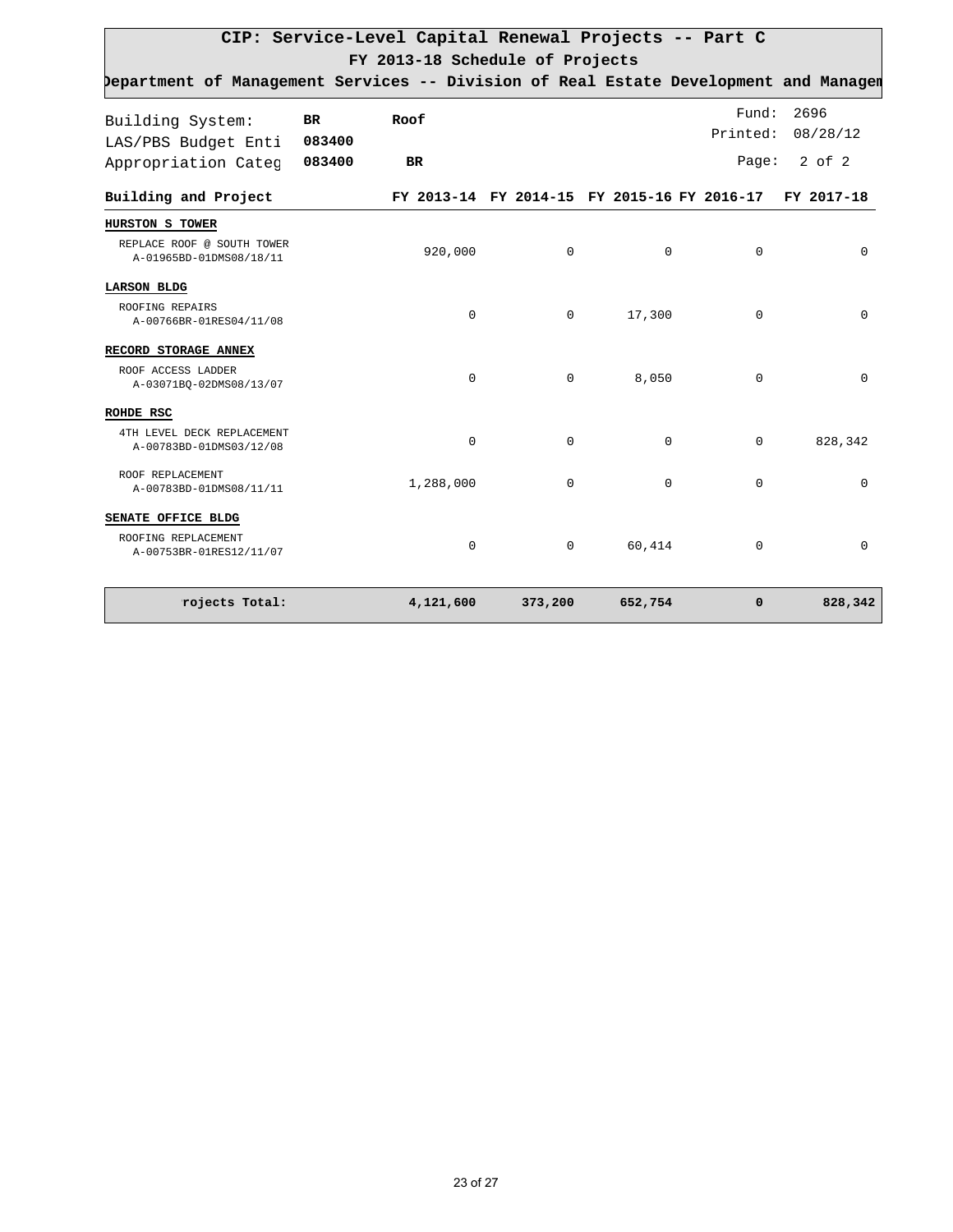| Department of Management Services -- Division of Real Estate Development and Managem |                     |             |             |                                                        |                   |                  |
|--------------------------------------------------------------------------------------|---------------------|-------------|-------------|--------------------------------------------------------|-------------------|------------------|
| Building System:<br>LAS/PBS Budget Enti                                              | <b>BR</b><br>083400 | Roof        |             |                                                        | Fund:<br>Printed: | 2696<br>08/28/12 |
| Appropriation Categ                                                                  | 083400              | <b>BR</b>   |             |                                                        | Page:             | $2$ of $2$       |
| Building and Project                                                                 |                     |             |             | FY 2013-14 FY 2014-15 FY 2015-16 FY 2016-17 FY 2017-18 |                   |                  |
| HURSTON S TOWER                                                                      |                     |             |             |                                                        |                   |                  |
| REPLACE ROOF @ SOUTH TOWER<br>A-01965BD-01DMS08/18/11                                |                     | 920,000     | 0           | 0                                                      | 0                 | $\Omega$         |
| <b>LARSON BLDG</b>                                                                   |                     |             |             |                                                        |                   |                  |
| ROOFING REPAIRS<br>A-00766BR-01RES04/11/08                                           |                     | $\mathbf 0$ | $\mathbf 0$ | 17,300                                                 | $\mathbf 0$       | $\Omega$         |
| RECORD STORAGE ANNEX                                                                 |                     |             |             |                                                        |                   |                  |
| ROOF ACCESS LADDER<br>A-03071BO-02DMS08/13/07                                        |                     | $\mathbf 0$ | $\mathbf 0$ | 8,050                                                  | $\mathbf 0$       | $\mathbf 0$      |
| ROHDE RSC                                                                            |                     |             |             |                                                        |                   |                  |
| 4TH LEVEL DECK REPLACEMENT<br>A-00783BD-01DMS03/12/08                                |                     | $\Omega$    | $\Omega$    | $\Omega$                                               | $\Omega$          | 828,342          |
| ROOF REPLACEMENT<br>A-00783BD-01DMS08/11/11                                          |                     | 1,288,000   | $\mathbf 0$ | $\mathbf 0$                                            | $\mathbf 0$       | $\mathbf 0$      |
| SENATE OFFICE BLDG                                                                   |                     |             |             |                                                        |                   |                  |
| ROOFING REPLACEMENT<br>A-00753BR-01RES12/11/07                                       |                     | $\mathbf 0$ | $\mathbf 0$ | 60,414                                                 | $\mathbf 0$       | $\Omega$         |
| rojects Total:                                                                       |                     | 4,121,600   | 373,200     | 652,754                                                | $\mathbf 0$       | 828,342          |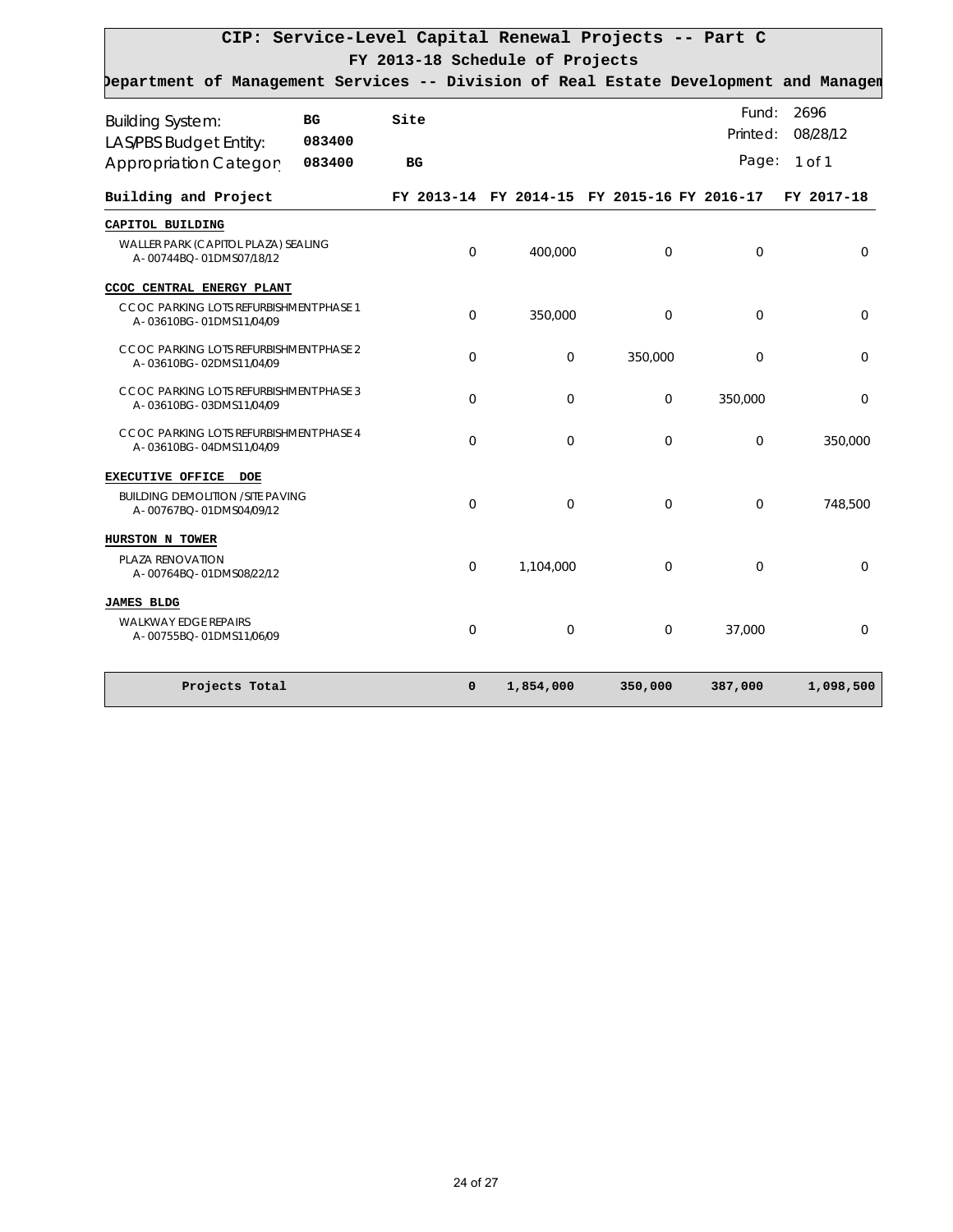| Department of Management Services -- Division of Real Estate Development and Managem |              |             |              |                                             |                   |                  |
|--------------------------------------------------------------------------------------|--------------|-------------|--------------|---------------------------------------------|-------------------|------------------|
| <b>Building System:</b><br>LAS/PBS Budget Entity:                                    | BG<br>083400 | Site        |              |                                             | Fund:<br>Printed: | 2696<br>08/28/12 |
| Appropriation Category                                                               | 083400       | BG          |              |                                             | Page:             | $1$ of $1$       |
| Building and Project                                                                 |              |             |              | FY 2013-14 FY 2014-15 FY 2015-16 FY 2016-17 |                   | FY 2017-18       |
| CAPITOL BUILDING                                                                     |              |             |              |                                             |                   |                  |
| WALLER PARK (CAPITOL PLAZA) SEALING<br>A-00744BQ-01DMS07/18/12                       |              | $\Omega$    | 400,000      | $\Omega$                                    | $\Omega$          | $\Omega$         |
| CCOC CENTRAL ENERGY PLANT                                                            |              |             |              |                                             |                   |                  |
| CCOC PARKING LOTS REFURBISHMENT PHASE 1<br>A-03610BG-01DMS11/04/09                   |              | $\mathbf 0$ | 350,000      | $\Omega$                                    | $\Omega$          | $\Omega$         |
| CCOC PARKING LOTS REFURBISHMENT PHASE 2<br>A-03610BG-02DMS11/04/09                   |              | $\mathbf 0$ | $\mathbf{O}$ | 350,000                                     | $\overline{O}$    | $\mathbf 0$      |
| CCOC PARKING LOTS REFURBISHMENT PHASE 3<br>A-03610BG-03DMS11/04/09                   |              | $\mathbf 0$ | $\mathbf{O}$ | $\mathbf{O}$                                | 350,000           | $\mathbf 0$      |
| CCOC PARKING LOTS REFURBISHMENT PHASE 4<br>A-03610BG-04DMS11/04/09                   |              | $\Omega$    | $\Omega$     | $\Omega$                                    | $\Omega$          | 350,000          |
| EXECUTIVE OFFICE DOE                                                                 |              |             |              |                                             |                   |                  |
| <b>BUILDING DEMOLITION / SITE PAVING</b><br>A-00767BQ-01DMS04/09/12                  |              | $\mathbf 0$ | $\Omega$     | $\Omega$                                    | $\Omega$          | 748,500          |
| HURSTON N TOWER                                                                      |              |             |              |                                             |                   |                  |
| PLAZA RENOVATION<br>A-00764BQ-01DMS08/22/12                                          |              | $\mathbf 0$ | 1,104,000    | $\Omega$                                    | $\Omega$          | $\Omega$         |
| <b>JAMES BLDG</b>                                                                    |              |             |              |                                             |                   |                  |
| <b>WALKWAY EDGE REPAIRS</b><br>A-00755BQ-01DMS11/06/09                               |              | $\mathbf 0$ | $\mathbf{O}$ | $\Omega$                                    | 37,000            | $\mathbf 0$      |
| Projects Total                                                                       |              | $\mathbf 0$ | 1,854,000    | 350,000                                     | 387,000           | 1,098,500        |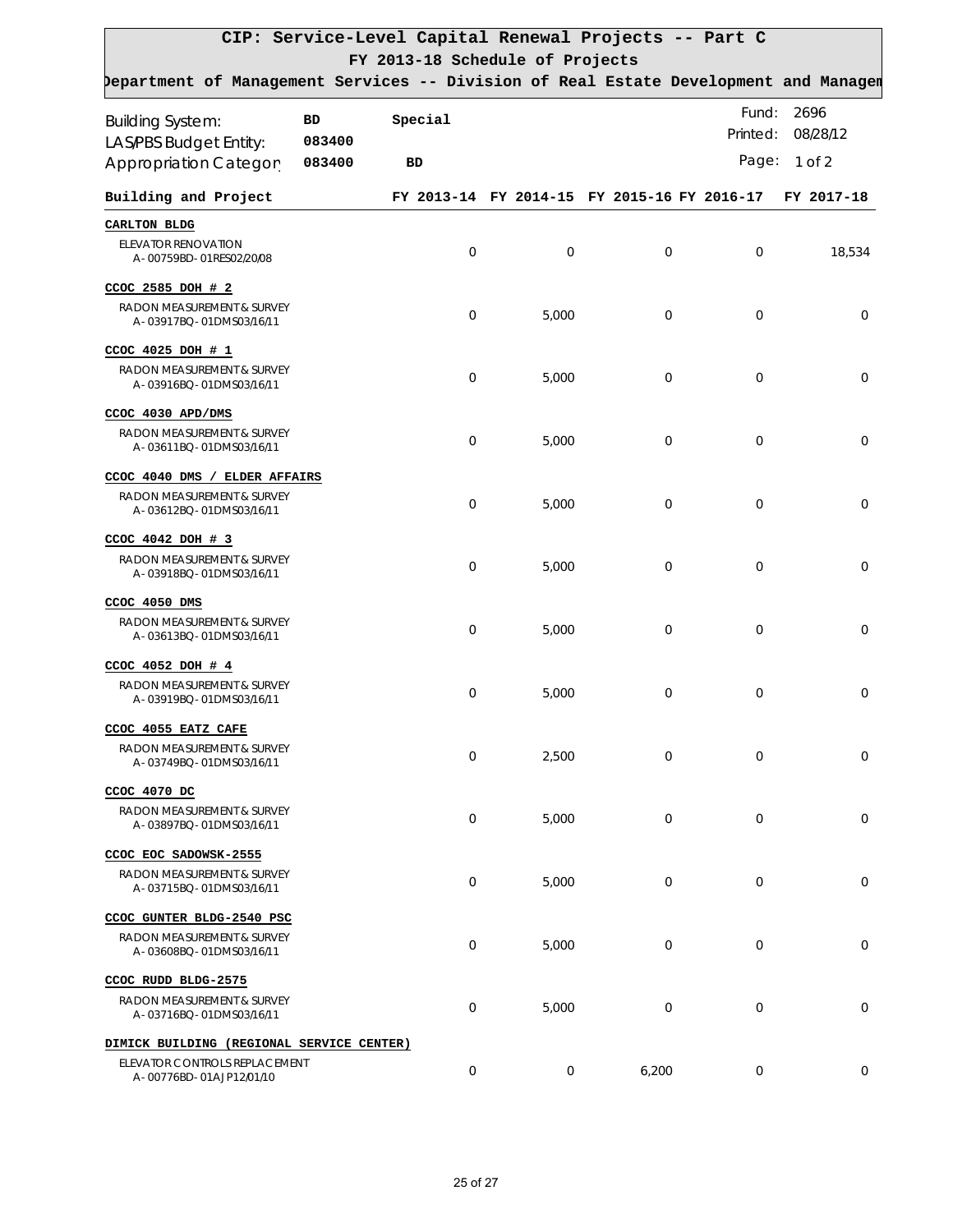| Department of Management Services -- Division of Real Estate Development and Managem |              |             |             |                                             |                   |                  |
|--------------------------------------------------------------------------------------|--------------|-------------|-------------|---------------------------------------------|-------------------|------------------|
| <b>Building System:</b><br>LAS/PBS Budget Entity:                                    | BD<br>083400 | Special     |             |                                             | Fund:<br>Printed: | 2696<br>08/28/12 |
| Appropriation Category                                                               | 083400       | BD          |             |                                             | Page:             | 1 of 2           |
| Building and Project                                                                 |              |             |             | FY 2013-14 FY 2014-15 FY 2015-16 FY 2016-17 |                   | FY 2017-18       |
| <b>CARLTON BLDG</b>                                                                  |              |             |             |                                             |                   |                  |
| <b>ELEVATOR RENOVATION</b><br>A-00759BD-01RES02/20/08                                |              | $\mathbf 0$ | $\mathbf 0$ | 0                                           | 0                 | 18,534           |
| CCOC 2585 DOH # 2                                                                    |              |             |             |                                             |                   |                  |
| RADON MEASUREMENT & SURVEY<br>A-03917BQ-01DMS03/16/11                                |              | $\mathbf 0$ | 5,000       | $\overline{0}$                              | $\overline{O}$    | $\mathbf 0$      |
| CCOC 4025 DOH # 1                                                                    |              |             |             |                                             |                   |                  |
| RADON MEASUREMENT & SURVEY<br>A-03916BQ-01DMS03/16/11                                |              | $\mathbf 0$ | 5,000       | $\mathbf 0$                                 | $\mathbf 0$       | $\mathbf 0$      |
| CCOC 4030 APD/DMS                                                                    |              |             |             |                                             |                   |                  |
| RADON MEASUREMENT & SURVEY<br>A-03611BQ-01DMS03/16/11                                |              | $\mathbf 0$ | 5,000       | $\mathbf 0$                                 | $\overline{0}$    | $\mathbf 0$      |
| CCOC 4040 DMS / ELDER AFFAIRS                                                        |              |             |             |                                             |                   |                  |
| RADON MEASUREMENT & SURVEY<br>A-03612BQ-01DMS03/16/11                                |              | $\mathbf 0$ | 5,000       | $\mathbf 0$                                 | $\mathbf 0$       | 0                |
| CCOC 4042 DOH # 3                                                                    |              |             |             |                                             |                   |                  |
| RADON MEASUREMENT & SURVEY<br>A-03918BQ-01DMS03/16/11                                |              | $\mathbf 0$ | 5,000       | $\mathbf 0$                                 | $\overline{O}$    | $\mathbf 0$      |
| CCOC 4050 DMS                                                                        |              |             |             |                                             |                   |                  |
| RADON MEASUREMENT & SURVEY<br>A-03613BQ-01DMS03/16/11                                |              | $\mathbf 0$ | 5,000       | 0                                           | $\overline{0}$    | $\mathbf 0$      |
| CCOC 4052 DOH 44                                                                     |              |             |             |                                             |                   |                  |
| RADON MEASUREMENT & SURVEY<br>A-03919BQ-01DMS03/16/11                                |              | $\mathbf 0$ | 5,000       | $\mathbf 0$                                 | $\overline{0}$    | $\mathbf 0$      |
| CCOC 4055 EATZ CAFE                                                                  |              |             |             |                                             |                   |                  |
| RADON MEASUREMENT & SURVEY<br>A-03749BQ-01DMS03/16/11                                |              | $\mathbf 0$ | 2,500       | 0                                           | 0                 | 0                |
| CCOC 4070 DC                                                                         |              |             |             |                                             |                   |                  |
| RADON MEASUREMENT & SURVEY<br>A-03897BQ-01DMS03/16/11                                |              | $\mathbf 0$ | 5,000       | $\mathbf 0$                                 | 0                 | $\mathbf 0$      |
| CCOC EOC SADOWSK-2555                                                                |              |             |             |                                             |                   |                  |
| RADON MEASUREMENT & SURVEY<br>A-03715BQ-01DMS03/16/11                                |              | 0           | 5,000       | 0                                           | 0                 | 0                |
| CCOC GUNTER BLDG-2540 PSC                                                            |              |             |             |                                             |                   |                  |
| RADON MEASUREMENT & SURVEY<br>A-03608BQ-01DMS03/16/11                                |              | $\mathbf 0$ | 5,000       | 0                                           | 0                 | 0                |
| CCOC RUDD BLDG-2575                                                                  |              |             |             |                                             |                   |                  |
| RADON MEASUREMENT & SURVEY<br>A-03716BQ-01DMS03/16/11                                |              | 0           | 5,000       | $\mathbf 0$                                 | 0                 | 0                |
| DIMICK BUILDING (REGIONAL SERVICE CENTER)                                            |              |             |             |                                             |                   |                  |
| ELEVATOR CONTROLS REPLACEMENT<br>A-00776BD-01AJP12/01/10                             |              | $\mathbf 0$ | 0           | 6,200                                       | 0                 | 0                |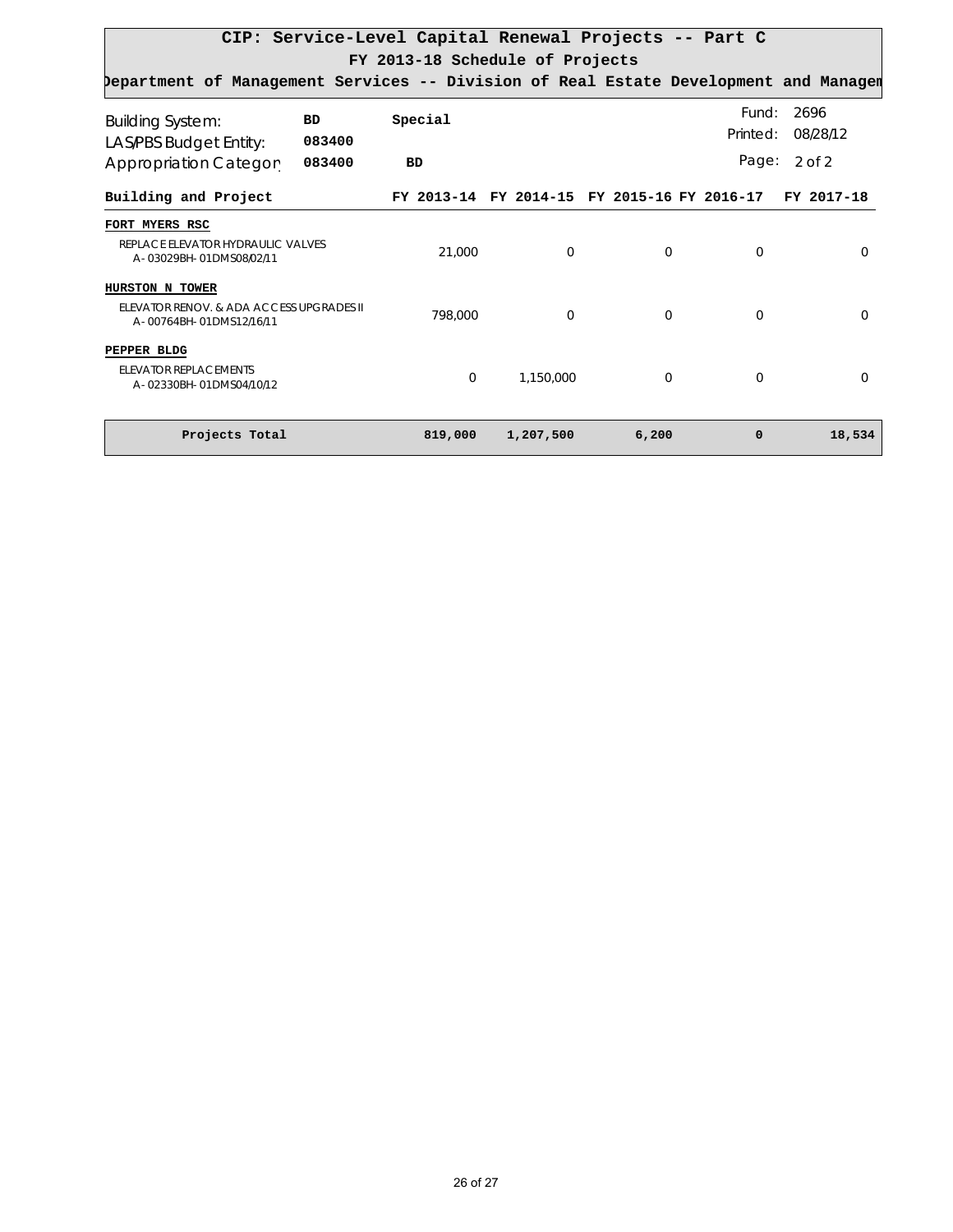|                                                                                      |           |                                 |           | CIP: Service-Level Capital Renewal Projects -- Part C |             |            |
|--------------------------------------------------------------------------------------|-----------|---------------------------------|-----------|-------------------------------------------------------|-------------|------------|
|                                                                                      |           |                                 |           |                                                       |             |            |
| Department of Management Services -- Division of Real Estate Development and Managem |           | FY 2013-18 Schedule of Projects |           |                                                       |             |            |
|                                                                                      |           |                                 |           |                                                       |             |            |
| <b>Building System:</b>                                                              | <b>BD</b> | Special                         |           |                                                       | Fund:       | 2696       |
| LAS/PBS Budget Entity:                                                               | 083400    |                                 |           |                                                       | Printed:    | 08/28/12   |
| Appropriation Category                                                               | 083400    | <b>BD</b>                       |           |                                                       | Page:       | 2 of 2     |
| Building and Project                                                                 |           |                                 |           | FY 2013-14 FY 2014-15 FY 2015-16 FY 2016-17           |             | FY 2017-18 |
| FORT MYERS RSC                                                                       |           |                                 |           |                                                       |             |            |
| REPLACE FLEVATOR HYDRAULIC VALVES<br>A-03029BH-01DMS08/02/11                         |           | 21.000                          | $\Omega$  | $\Omega$                                              | $\Omega$    | $\Omega$   |
| HURSTON N TOWER                                                                      |           |                                 |           |                                                       |             |            |
| <b>FLEVATOR RENOV. &amp; ADA ACCESS UPGRADES II</b><br>A-00764BH-01DMS12/16/11       |           | 798.000                         | $\Omega$  | $\Omega$                                              | $\Omega$    | $\Omega$   |
| PEPPER BLDG                                                                          |           |                                 |           |                                                       |             |            |
| <b>FLEVATOR REPLACEMENTS</b><br>A-02330BH-01DMS04/10/12                              |           | $\Omega$                        | 1.150.000 | 0                                                     | $\Omega$    | $\Omega$   |
| Projects Total                                                                       |           | 819,000                         | 1,207,500 | 6,200                                                 | $\mathbf 0$ | 18,534     |